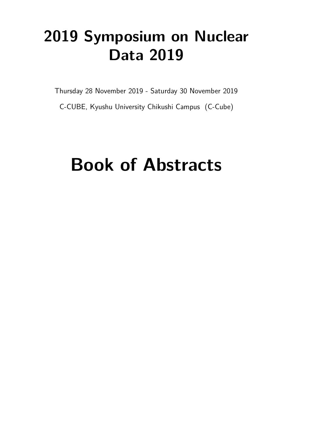## **2019 Symposium on Nuclear Data 2019**

Thursday 28 November 2019 - Saturday 30 November 2019

C-CUBE, Kyushu University Chikushi Campus (C-Cube)

# Book of Abstracts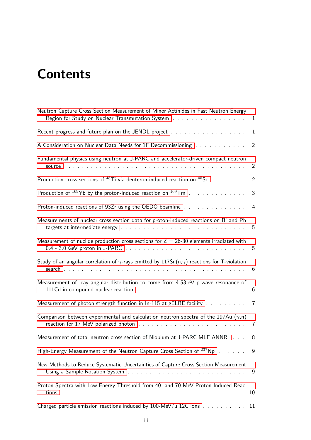## <span id="page-2-0"></span>**Contents**

| Neutron Capture Cross Section Measurement of Minor Actinides in Fast Neutron Energy<br>Region for Study on Nuclear Transmutation System | $\mathbf{1}$   |
|-----------------------------------------------------------------------------------------------------------------------------------------|----------------|
|                                                                                                                                         | $\mathbf{1}$   |
| A Consideration on Nuclear Data Needs for 1F Decommissioning 2                                                                          |                |
| Fundamental physics using neutron at J-PARC and accelerator-driven compact neutron                                                      | 2              |
| Production cross sections of $^{45}$ Ti via deuteron-induced reaction on $^{45}$ Sc                                                     | $\overline{2}$ |
| Production of $^{169}$ Yb by the proton-induced reaction on $^{169}$ Tm                                                                 | 3              |
| Proton-induced reactions of 93Zr using the OEDO beamline 4                                                                              |                |
| Measurements of nuclear cross section data for proton-induced reactions on Bi and Pb                                                    | 5              |
| Measurement of nuclide production cross sections for $Z = 26-30$ elements irradiated with                                               |                |
| Study of an angular correlation of $\gamma$ -rays emitted by 117Sn(n, $\gamma$ ) reactions for T-violation                              | - 6            |
| Measurement of ray angular distribution to come from 4.53 eV p-wave resonance of                                                        | 6              |
| Measurement of photon strength function in In-115 at gELBE facility 7                                                                   |                |
| Comparison between experimental and calculation neutron spectra of the 197Au $(\gamma, n)$                                              |                |
| Measurement of total neutron cross section of Niobium at J-PARC MLF ANNRI 8                                                             |                |
| High-Energy Measurement of the Neutron Capture Cross Section of <sup>237</sup> Np                                                       | - 9            |
| New Methods to Reduce Systematic Uncertainties of Capture Cross Section Measurement                                                     | 9              |
| Proton Spectra with Low-Energy-Threshold from 40- and 70-MeV Proton-Induced Reac-                                                       | 10             |
| Charged particle emission reactions induced by 100-MeV/u 12C ions 11                                                                    |                |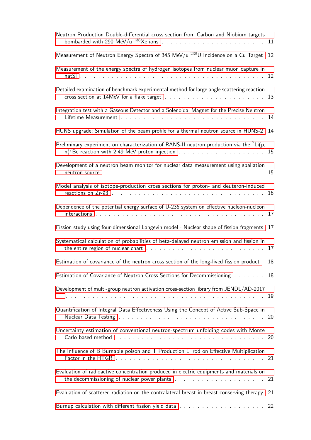| Neutron Production Double-differential cross section from Carbon and Niobium targets                                                                                                                                    |    |
|-------------------------------------------------------------------------------------------------------------------------------------------------------------------------------------------------------------------------|----|
| Measurement of Neutron Energy Spectra of 345 MeV/u $^{238}$ U Incidence on a Cu Target                                                                                                                                  | 12 |
| Measurement of the energy spectra of hydrogen isotopes from nuclear muon capture in                                                                                                                                     | 12 |
| Detailed examination of benchmark experimental method for large angle scattering reaction                                                                                                                               |    |
| Integration test with a Gaseous Detector and a Solenoidal Magnet for the Precise Neutron                                                                                                                                | 14 |
| HUNS upgrade; Simulation of the beam profile for a thermal neutron source in HUNS-2                                                                                                                                     | 14 |
| Preliminary experiment on characterization of RANS-II neutron production via the ${}^{7}$ Li(p,<br>n) <sup>7</sup> Be reaction with 2.49 MeV proton injection $\ldots \ldots \ldots \ldots \ldots \ldots \ldots \ldots$ |    |
| Development of a neutron beam monitor for nuclear data measurement using spallation                                                                                                                                     |    |
| Model analysis of isotope-production cross sections for proton- and deuteron-induced                                                                                                                                    | 16 |
| Dependence of the potential energy surface of U-236 system on effective nucleon-nucleon                                                                                                                                 | 17 |
| Fission study using four-dimensional Langevin model - Nuclear shape of fission fragments                                                                                                                                | 17 |
| Systematical calculation of probabilities of beta-delayed neutron emission and fission in                                                                                                                               | 17 |
| Estimation of covariance of the neutron cross section of the long-lived fission product                                                                                                                                 | 18 |
| Estimation of Covariance of Neutron Cross Sections for Decommissioning 18                                                                                                                                               |    |
| Development of multi-group neutron activation cross-section library from JENDL/AD-2017                                                                                                                                  | 19 |
| Quantification of Integral Data Effectiveness Using the Concept of Active Sub-Space in                                                                                                                                  |    |
| Uncertainty estimation of conventional neutron-spectrum unfolding codes with Monte                                                                                                                                      |    |
| The Influence of B Burnable poison and T Production Li rod on Effective Multiplication                                                                                                                                  |    |
| Evaluation of radioactive concentration produced in electric equipments and materials on                                                                                                                                |    |
| Evaluation of scattered radiation on the contralateral breast in breast-conserving therapy                                                                                                                              | 21 |
|                                                                                                                                                                                                                         |    |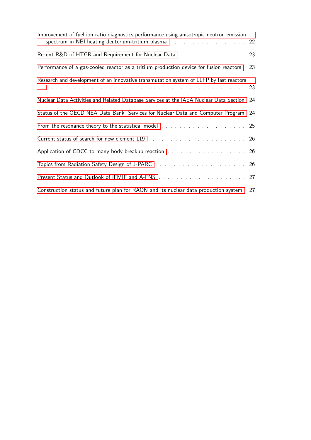| Improvement of fuel ion ratio diagnostics performance using anisotropic neutron emission<br>spectrum in NBI heating deuterium-tritium plasma 22 |    |
|-------------------------------------------------------------------------------------------------------------------------------------------------|----|
| Recent R&D of HTGR and Requirement for Nuclear Data 23                                                                                          |    |
| Performance of a gas-cooled reactor as a tritium production device for fusion reactors                                                          | 23 |
| Research and development of an innovative transmutation system of LLFP by fast reactors                                                         |    |
| Nuclear Data Activities and Related Database Services at the IAEA Nuclear Data Section 24                                                       |    |
| Status of the OECD NEA Data Bank Services for Nuclear Data and Computer Program 24                                                              |    |
|                                                                                                                                                 |    |
|                                                                                                                                                 |    |
| Application of CDCC to many-body breakup reaction 26                                                                                            |    |
|                                                                                                                                                 |    |
|                                                                                                                                                 |    |
| Construction status and future plan for RAON and its nuclear data production system                                                             | 27 |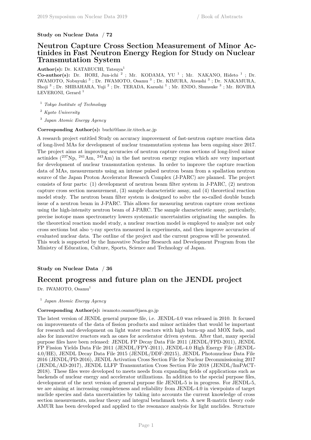## **Study on Nuclear Data** / **72**

## **Neutron Capture Cross Section Measurement of Minor Actinides in Fast Neutron Energy Region for Study on Nuclear Transmutation System**

Author(s): Dr. KATABUCHI, Tatsuya<sup>1</sup>

**Co-author(s):** Dr. HORI, Jun-ichi<sup>2</sup>; Mr. KODAMA, YU<sup>1</sup>; Mr. NAKANO, Hideto<sup>1</sup>; Dr. IWAMOTO, Nobuyuki<sup>3</sup>; Dr. IWAMOTO, Osamu<sup>3</sup>; Dr. KIMURA, Atsushi<sup>3</sup>; Dr. NAKAMURA, Shoji<sup>3</sup>; Dr. SHIBAHARA, Yuji<sup>2</sup>; Dr. TERADA, Kazushi<sup>1</sup>; Mr. ENDO, Shunsuke<sup>3</sup>; Mr. ROVIRA LEVERONI, Gerard<sup>1</sup>

<sup>1</sup> *Tokyo Institute of Technology*

<sup>2</sup> *Kyoto University*

3 *Japan Atomic Energy Agency*

**Corresponding Author(s):** buchi@lane.iir.titech.ac.jp

A research project entitled Study on accuracy improvement of fast-neutron capture reaction data of long-lived MAs for development of nuclear transmutation systems has been ongoing since 2017. The project aims at improving accuracies of neutron capture cross sections of long-lived minor actinides  $(^{237}Np, ^{241}Am, ^{243}Am)$  in the fast neutron energy region which are very important for development of nuclear transmutation systems. In order to improve the capture reaction data of MAs, measurements using an intense pulsed neutron beam from a spallation neutron source of the Japan Proton Accelerator Research Complex (J-PARC) are planned. The project consists of four parts: (1) development of neutron beam filter system in J-PARC, (2) neutron capture cross section measurement, (3) sample characteristic assay, and (4) theoretical reaction model study. The neutron beam filter system is designed to solve the so-called double bunch issue of a neutron beam in J-PARC. This allows for measuring neutron capture cross sections using the high-intensity neutron beam of J-PARC. The sample characteristic assay, particularly, precise isotope mass spectrometry lowers systematic uncertainties originating the samples. In the theoretical reaction model study, a nuclear reaction model is employed to analyze not only cross sections but also *γ*-ray spectra measured in experiments, and then improve accuracies of evaluated nuclear data. The outline of the project and the current progress will be presented. This work is supported by the Innovative Nuclear Research and Development Program from the Ministry of Education, Culture, Sports, Science and Technology of Japan.

## **Study on Nuclear Data** / **36**

## **Recent progress and future plan on the JENDL project**

Dr. IWAMOTO, Osamu<sup>1</sup>

#### 1 *Japan Atomic Energy Agency*

#### **Corresponding Author(s):** iwamoto.osamu@jaea.go.jp

The latest version of JENDL general purpose file, i.e. JENDL-4.0 was released in 2010. It focused on improvements of the data of fission products and minor actinides that would be important for research and development on light water reactors with high burn-up and MOX fuels, and also for innovative reactors such as ones for accelerator driven system. After that, many special purpose files have been released: JENDL FP Decay Data File 2011 (JENDL/FPD-2011), JENDL FP Fission Yields Data File 2011 (JENDL/FPY-2011), JENDL-4.0 High Energy File (JENDL-4.0/HE), JENDL Decay Data File 2015 (JENDL/DDF-20215), JENDL Photonuclear Data File 2016 (JENDL/PD-2016), JENDL Activation Cross Section File for Nuclear Decommissioning 2017 (JENDL/AD-2017), JENDL LLFP Transmutation Cross Section File 2018 (JENDL/ImPACT-2018). These files were developed to meets needs from expanding fields of applications such as backends of nuclear energy and accelerator utilizations. In addition to the special purpose files, development of the next version of general purpose file JENDL-5 is in progress. For JENDL-5, we are aiming at increasing completeness and reliability from JENDL-4.0 in viewpoints of target nuclide species and data uncertainties by taking into accounts the current knowledge of cross section measurements, nuclear theory and integral benchmark tests. A new R-matrix theory code AMUR has been developed and applied to the resonance analysis for light nuclides. Structure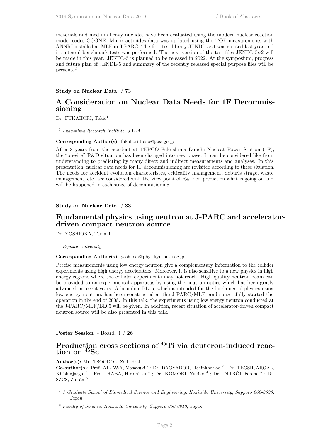materials and medium-heavy nuclides have been evaluated using the modern nuclear reaction model codes CCONE. Minor actinides data was updated using the TOF measurements with ANNRI installed at MLF in J-PARC. The first test library JENDL-5 $\alpha$ 1 was created last year and its integral benchmark tests was performed. The next version of the test files JENDL-5 $\alpha$ 2 will be made in this year. JENDL-5 is planned to be released in 2022. At the symposium, progress and future plan of JENDL-5 and summary of the recently released special purpose files will be presented.

#### **Study on Nuclear Data** / **73**

## **A Consideration on Nuclear Data Needs for 1F Decommissioning**

Dr. FUKAHORI, Tokio<sup>1</sup>

<sup>1</sup> *Fukushima Research Institute, JAEA*

#### **Corresponding Author(s):** fukahori.tokio@jaea.go.jp

After 8 years from the accident at TEPCO Fukushima Daiichi Nucleat Power Station (1F), the "on-site" R&D situation has been changed into new phase. It can be considered like from understanding to predicting by many direct and indirect measurements and analyses. In this presentation, nuclear data needs for 1F decommishioning are revisited according to these situation. The needs for accident evolution characteristcs, criticality management, deburis strage, waste management, etc. are considered with the view point of R&D on prediction what is going on and will be happened in each stage of decommisioning.

#### **Study on Nuclear Data** / **33**

## **Fundamental physics using neutron at J-PARC and acceleratordriven compact neutron source**

Dr. YOSHIOKA, Tamaki<sup>1</sup>

<sup>1</sup> *Kyushu University*

## **Corresponding Author(s):** yoshioka@phys.kyushu-u.ac.jp

Precise measurements using low energy neutron give a complementary information to the collider experiments using high energy accelerators. Moreover, it is also sensitive to a new physics in high energy regions where the collider experiments may not reach. High quality neutron beam can be provided to an experimental apparatus by using the neutron optics which has been gratly advanced in recent years. A beamline BL05, which is intended for the fundamental physics using low energy neutron, has been constructed at the J-PARC/MLF, and successfully started the operation in the end of 2008. In this talk, the experiments using low energy neutron conducted at the J-PARC/MLF/BL05 will be given. In addition, recent situation of accelerator-driven compact neutron source will be also presented in this talk.

**Poster Session** - Board: 1 / **26**

## **Production cross sections of** <sup>45</sup>**Ti via deuteron-induced reaction on** <sup>45</sup>**Sc**

#### Author(s): Mr. TSOODOL, Zolbadral<sup>1</sup>

Co-author(s): Prof. AIKAWA, Masayuki<sup>2</sup>; Dr. DAGVADORJ, Ichinkhorloo<sup>2</sup>; Dr. TEGSHJARGAL, Khishigjargal<sup>3</sup>; Prof. HABA, Hiromitsu<sup>4</sup>; Dr. KOMORI, Yukiko<sup>4</sup>; Dr. DITRÓI, Ferenc<sup>5</sup>; Dr.  $\rm SZCS,$ Zoltán $^5$ 

1 *1 Graduate School of Biomedical Science and Engineering, Hokkaido University, Sapporo 060-8638, Japan*

<sup>2</sup> *Faculty of Science, Hokkaido University, Sapporo 060-0810, Japan*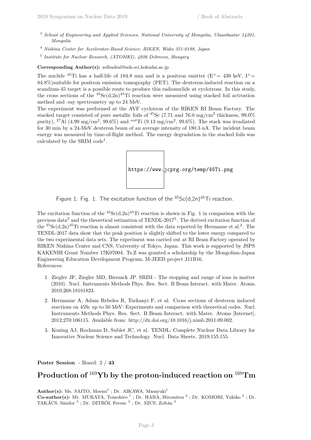- <sup>3</sup> *School of Engineering and Applied Sciences, National University of Mongolia, Ulaanbaatar 14201, Mongolia*
- <sup>4</sup> *Nishina Center for Accelerator-Based Science, RIKEN, Wako 351-0198, Japan*
- 5 *Institute for Nuclear Research, (ATOMKI), 4026 Debrecen, Hungary*

**Corresponding Author(s):** zolbadral@nds.sci.hokudai.ac.jp

The nuclide <sup>45</sup>Ti has a half-life of 184.8 min and is a positron emitter ( $E^+= 439$  keV,  $I^+=$ 84.8%)suitable for positron emission tomography (PET). The deuteron-induced reaction on a scandium-45 target is a possible route to produce this radionuclide at cyclotrons. In this study, the cross sections of the  ${}^{45}Sc(d,2n){}^{45}Ti$  reaction were measured using stacked foil activation method and -ray spectrometry up to 24 MeV.

The experiment was performed at the AVF cyclotron of the RIKEN RI Beam Factory. The stacked target consisted of pure metallic foils of <sup>45</sup>Sc (7.71 and 76.0 mg/cm<sup>2</sup> thickness, 99.0%) purity), <sup>27</sup>Al (4.99 mg/cm<sup>2</sup> , 99.6%) and *nat*Ti (9.13 mg/cm<sup>2</sup> , 99.6%). The stack was irradiated for 30 min by a 24-MeV deuteron beam of an average intensity of 180.3 nA. The incident beam energy was measured by time-of-flight method. The energy degradation in the stacked foils was calculated by the SRIM code<sup>1</sup>.



Figure 1: Fig. 1. The excitation function of the  $45$ Sc(d,2n) $45$ Ti reaction.

The excitation function of the  ${}^{45}Sc(d,2n){}^{45}Ti$  reaction is shown in Fig. 1 in comparison with the previous data<sup>2</sup> and the theoretical estimation of TENDL-2017<sup>3</sup>. The derived excitation function of the  ${}^{45}Sc(d,2n)$ <sup>45</sup>Ti reaction is almost consistent with the data reported by Hermanne et al.<sup>2</sup>. The TENDL-2017 data show that the peak position is slightly shifted to the lower energy compared to the two experimental data sets. The experiment was carried out at RI Beam Factory operated by RIKEN Nishina Center and CNS, University of Tokyo, Japan. This work is supported by JSPS KAKENHI Grant Number 17K07004. Ts.Z was granted a scholarship by the Mongolian-Japan Engineering Education Development Program, M-JEED project J11B16. References:

- 1. Ziegler JF, Ziegler MD, Biersack JP. SRIM The stopping and range of ions in matter (2010). Nucl. Instruments Methods Phys. Res. Sect. B Beam Interact. with Mater. Atoms. 2010;268:18181823.
- 2. Hermanne A, Adam Rebeles R, Tarkanyi F, et al. Cross sections of deuteron induced reactions on 45Sc up to 50 MeV: Experiments and comparison with theoretical codes. Nucl. Instruments Methods Phys. Res. Sect. B Beam Interact. with Mater. Atoms [Internet]. 2012;270:106115. Available from: http://dx.doi.org/10.1016/j.nimb.2011.09.002.
- <span id="page-8-0"></span>3. Koning AJ, Rochman D, Sublet JC, et al. TENDL: Complete Nuclear Data Library for Innovative Nuclear Science and Technology. Nucl. Data Sheets. 2019;155:155.

**Poster Session** - Board: 2 / **43**

## **Production of** <sup>169</sup>**Yb by the proton-induced reaction on** <sup>169</sup>**Tm**

Author(s): Ms. SAITO, Moemi<sup>1</sup>; Dr. AIKAWA, Masayuki<sup>1</sup> Co-author(s): Mr. MURATA, Tomohiro<sup>1</sup>; Dr. HABA, Hiromitsu<sup>2</sup>; Dr. KOMORI, Yukiko<sup>2</sup>; Dr. TAKÁCS, Sándor<sup>3</sup>; Dr. DITRÓI, Ferenc<sup>3</sup>; Dr. SZCS, Zoltán<sup>3</sup>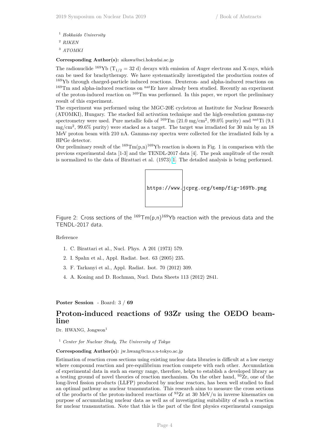- <sup>1</sup> *Hokkaido University*
- <sup>2</sup> *RIKEN*
- <sup>3</sup> *ATOMKI*

**Corresponding Author(s):** aikawa@sci.hokudai.ac.jp

The radionuclide <sup>169</sup>Yb ( $T_{1/2}$  = 32 d) decays with emission of Auger electrons and X-rays, which can be used for brachytherapy. We have systematically investigated the production routes of <sup>169</sup>Yb through charged-particle induced reactions. Deuteron- and alpha-induced reactions on <sup>169</sup>Tm and alpha-induced reactions on <sup>nat</sup>Er have already been studied. Recently an experiment of the proton-induced reaction on <sup>169</sup>Tm was performed. In this paper, we report the preliminary result of this experiment.

The experiment was performed using the MGC-20E cyclotron at Institute for Nuclear Research (ATOMKI), Hungary. The stacked foil activation technique and the high-resolution gamma-ray spectrometry were used. Pure metallic foils of  $^{169} \text{Tm}$  (21.0 mg/cm<sup>2</sup>, 99.0% purity) and <sup>nat</sup>Ti (9.1) mg/cm<sup>2</sup> , 99.6% purity) were stacked as a target. The target was irradiated for 30 min by an 18 MeV proton beam with 210 nA. Gamma-ray spectra were collected for the irradiated foils by a HPGe detector.

Our preliminary result of the  $^{169} \text{Tm}(p,n)^{169}$ Yb reaction is shown in Fig. 1 in comparison with the previous experimental data [1-3] and the TENDL-2017 data [4]. The peak amplitude of the result is normalized to the data of Birattari et al. (1973) [1.](https://www.jcprg.org/temp/fig-169Yb.png) The detailed analysis is being performed.



Figure 2: Cross sections of the  $^{169} \text{Tm}(p,n)^{169}$ Yb reaction with the previous data and the TENDL-2017 data.

#### Reference

- 1. C. Birattari et al., Nucl. Phys. A 201 (1973) 579.
- 2. I. Spahn et al., Appl. Radiat. Isot. 63 (2005) 235.
- 3. F. Tarkanyi et al., Appl. Radiat. Isot. 70 (2012) 309.
- <span id="page-9-0"></span>4. A. Koning and D. Rochman, Nucl. Data Sheets 113 (2012) 2841.

**Poster Session** - Board: 3 / **69**

## **Proton-induced reactions of 93Zr using the OEDO beamline**

Dr. HWANG, Jongwon<sup>1</sup>

<sup>1</sup> *Center for Nuclear Study, The University of Tokyo*

#### **Corresponding Author(s):** jw.hwang@cns.s.u-tokyo.ac.jp

Estimation of reaction cross sections using existing nuclear data libraries is difficult at a low energy where compound reaction and pre-equilibrium reaction compete with each other. Accumulation of experimental data in such an energy range, therefore, helps to establish a developed library as a testing ground of novel theories of reaction mechanism. On the other hand,  $93Zr$ , one of the long-lived fission products (LLFP) produced by nuclear reactors, has been well studied to find an optimal pathway as nuclear transmutation. This research aims to measure the cross sections of the products of the proton-induced reactions of  $^{93}Zr$  at 30 MeV/u in inverse kinematics on purpose of accumulating nuclear data as well as of investigating suitability of such a reaction for nuclear transmutation. Note that this is the part of the first physics experimental campaign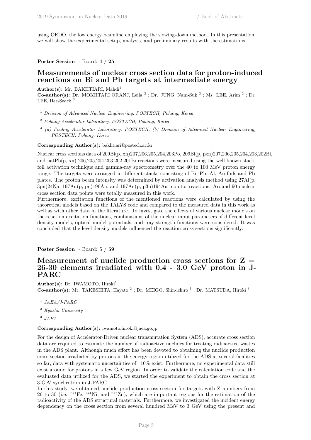using OEDO, the low energy beamline employing the slowing-down method. In this presentation, we will show the experimental setup, analysis, and preliminary results with the estimations.

**Poster Session** - Board: 4 / **25**

## **Measurements of nuclear cross section data for proton-induced reactions on Bi and Pb targets at intermediate energy**

Author(s): Mr. BAKHTIARI, Mahdi<sup>1</sup>

**Co-author(s):** Dr. MOKHTARI ORANJ, Leila<sup>2</sup>; Dr. JUNG, Nam-Suk<sup>2</sup>; Ms. LEE, Arim<sup>2</sup>; Dr. LEE, Hee-Seock<sup>3</sup>

<sup>1</sup> *Division of Advanced Nuclear Engineering, POSTECH, Pohang, Korea*

<sup>2</sup> *Pohang Accelerator Laboratory, POSTECH, Pohang, Korea*

3 *(a) Poahng Accelerator Laboratory, POSTECH, (b) Division of Advanced Nuclear Engineering, POSTECH, Pohang, Korea*

**Corresponding Author(s):** bakhtiari@postech.ac.kr

Nuclear cross sections data of 209Bi(p, xn)207,206,205,204,203Po, 209Bi(p, pxn)207,206,205,204,203,202Bi, and natPb(p, xn) 206,205,204,203,202,201Bi reactions were measured using the well-known stackfoil activation technique and gamma-ray spectrometry over the 40 to 100 MeV proton energy range. The targets were arranged in different stacks consisting of Bi, Pb, Al, Au foils and Pb plates. The proton beam intensity was determined by activation analysis method using 27Al(p, 3pn)24Na, 197Au(p, pn)196Au, and 197Au(p, p3n)194Au monitor reactions. Around 90 nuclear cross section data points were totally measured in this work.

Furthermore, excitation functions of the mentioned reactions were calculated by using the theoretical models based on the TALYS code and compared to the measured data in this work as well as with other data in the literature. To investigate the effects of various nuclear models on the reaction excitation functions, combinations of the nuclear input parameters of different level density models, optical model potentials, and -ray strength functions were considered. It was concluded that the level density models influenced the reaction cross sections significantly.

**Poster Session** - Board: 5 / **59**

## **Measurement of nuclide production cross sections for Z = 26-30 elements irradiated with 0.4 - 3.0 GeV proton in J-PARC**

Author(s): Dr. IWAMOTO, Hiroki<sup>1</sup> **Co-author(s):** Mr. TAKESHITA, Hayato<sup>2</sup>; Dr. MEIGO, Shin-ichiro<sup>1</sup>; Dr. MATSUDA, Hiroki<sup>3</sup>

- 1 *JAEA/J-PARC*
- <sup>2</sup> *Kyushu University*
- 3 *JAEA*

## **Corresponding Author(s):** iwamoto.hiroki@jaea.go.jp

For the design of Accelerator-Driven nuclear transmutation System (ADS), accurate cross section data are required to estimate the number of radioactive nuclides for treating radioactive wastes in the ADS plant. Although much effort has been devoted to obtaining the nuclide production cross section irradiated by protons in the energy region utilized for the ADS at several facilities so far, data with systematic uncertainties of ~10% exist. Furthermore, no experimental data still exist around for protons in a few GeV region. In order to validate the calculation code and the evaluated data utilized for the ADS, we started the experiment to obtain the cross section at 3-GeV synchrotron in J-PARC.

In this study, we obtained nuclide production cross section for targets with Z numbers from 26 to 30 (i.e. nation  $\mu$  nation, and  $\mu$ <sup>nat</sup>Zn), which are important regions for the estimation of the radioactivity of the ADS structural materials. Furthermore, we investigated the incident energy dependency on the cross section from several hundred MeV to 3 GeV using the present and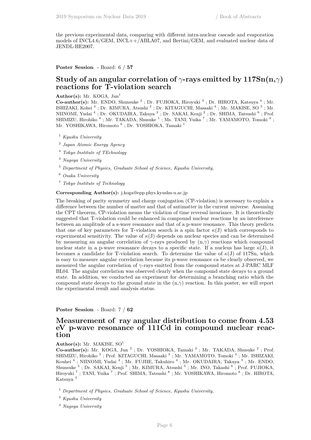the previous experimental data, comparing with different intra-nuclear cascade and evaporation models of INCL4.6/GEM, INCL++/ABLA07, and Bertini/GEM, and evaluated nuclear data of JENDL-HE2007.

**Poster Session** - Board: 6 / **57**

## **Study of an angular correlation of** *γ***-rays emitted by 117Sn(n,***γ***) reactions for T-violation search**

**Author(s):** Mr. KOGA, Jun<sup>1</sup>

Co-author(s): Mr. ENDO, Shunsuke<sup>2</sup>; Dr. FUJIOKA, Hiroyuki<sup>3</sup>; Dr. HIROTA, Katsuya<sup>4</sup>; Mr. ISHIZAKI, Kohei<sup>4</sup>; Dr. KIMURA, Atsushi<sup>2</sup>; Dr. KITAGUCHI, Masaaki<sup>4</sup>; Mr. MAKISE, SO<sup>5</sup>; Mr. NIINOMI, Yudai<sup>4</sup>; Dr. OKUDAIRA, Takuya<sup>2</sup>; Dr. SAKAI, Kenji<sup>2</sup>; Dr. SHIMA, Tatsushi<sup>6</sup>; Prof. SHIMIZU, Hirohiko<sup>4</sup>; Mr. TAKADA, Shusuke<sup>1</sup>; Ms. TANI, Yuika<sup>7</sup>; Mr. YAMAMOTO, Tomoki<sup>4</sup>; Mr. YOSHIKAWA, Hiromoto<sup>6</sup>; Dr. YOSHIOKA, Tamaki<sup>1</sup>

- <sup>1</sup> *Kyushu University*
- 2 *Japan Atomic Energy Agency*
- <sup>3</sup> *Tokyo Institute of TEchnology*
- <sup>4</sup> *Nagoya University*
- <sup>5</sup> *Department of Physics, Graduate School of Science, Kyushu University,*
- <sup>6</sup> *Osaka University*
- <sup>7</sup> *Tokyo Institute of Technology*

**Corresponding Author(s):** j.koga@epp.phys.kyushu-u.ac.jp

The breaking of parity symmetry and charge conjugation (CP-violation) is necessary to explain a difference between the number of matter and that of antimatter in the current universe. Assuming the CPT theorem, CP-violation means the violation of time reversal invariance. It is theoretically suggested that T-violation could be enhanced in compound nuclear reactions by an interference between an amplitude of a s-wave resonance and that of a p-wave resonance. This theory predicts that one of key parameters for T-violation search is a spin factor  $\kappa(J)$  which corresponds to experimental sensitivity. The value of  $\kappa(J)$  depends on nuclear species and can be determined by measuring an angular correlation of *γ*-rays produced by (n,*γ*) reactions which compound nuclear state in a p-wave resonance decays to a specific state. If a nucleus has large  $\kappa(J)$ , it becomes a candidate for T-violation search. To determine the value of  $\kappa(J)$  of 117Sn, which is easy to measure angular correlation because its p-wave resonance ca be clearly observed, we measured the angular correlation of *γ*-rays emitted from the compound states at J-PARC MLF BL04. The angular correlation was observed clearly when the compound state decays to a ground state. In addition, we conducted an experiment for determining a branching ratio which the compound state decays to the ground state in the  $(n, \gamma)$  reaction. In this poster, we will report the experimental result and analysis status.

**Poster Session** - Board: 7 / **62**

## **Measurement of ray angular distribution to come from 4.53 eV p-wave resonance of 111Cd in compound nuclear reaction**

## Author(s): Mr. MAKISE, SO<sup>1</sup>

Co-author(s): Mr. KOGA, Jun<sup>2</sup>; Dr. YOSHIOKA, Tamaki<sup>2</sup>; Mr. TAKADA, Shusuke<sup>2</sup>; Prof. SHIMIZU, Hirohiko  $^3$ ; Prof. KITAGUCHI, Masaaki  $^3$ ; Mr. YAMAMOTO, Tomoki  $^3$ ; Mr. ISHIZAKI, Kouhei<sup>4</sup>; NIINOMI, Yudai<sup>4</sup>; Mr. FUJIIE, Takuhiro<sup>4</sup>; Mr. OKUDAIRA, Takuya<sup>5</sup>; Mr. ENDO, Shunsuke<sup>5</sup>; Dr. SAKAI, Kenji<sup>5</sup>; Mr. KIMURA, Atsushi<sup>5</sup>; Mr. INO, Takashi<sup>6</sup>; Prof. FUJIOKA, Hiroyuki<sup>7</sup>; TANI, Yuika<sup>7</sup>; Prof. SHIMA, Tatsushi<sup>8</sup>; Mr. YOSHIKAWA, Hiromoto<sup>8</sup>; Dr. HIROTA, Katsuya <sup>3</sup>

<sup>1</sup> *Department of Physics, Graduate School of Science, Kyushu University,*

<sup>2</sup> *Kyushu University*

<sup>3</sup> *Nagoya University*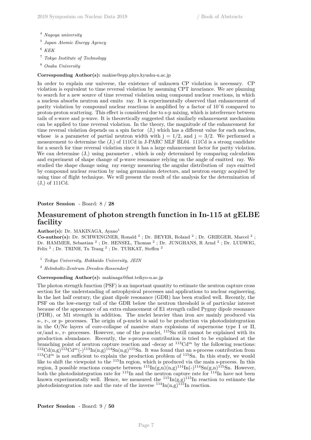- <sup>4</sup> *Nagoya university*
- 5 *Japan Atomic Energy Agency*
- <sup>6</sup> *KEK*
- <sup>7</sup> *Tokyo Institute of Technology*
- <sup>8</sup> *Osaka University*

#### **Corresponding Author(s):** makise@epp.phys.kyushu-u.ac.jp

In order to explain our universe, the existence of unknown CP violation is necessary. CP violation is equivalent to time reversal violation by assuming CPT invariance. We are planning to search for a new source of time reversal violation using compound nuclear reactions, in which a nucleus absorbs neutron and emits ray. It is experimentally observed that enhancement of parity violation by compound nuclear reactions is amplified by a factor of 10ˆ6 compared to proton-proton scattering. This effect is considered due to s-p mixing, which is interference between tails of s-wave and p-wave. It is theoretically suggested that similarly enhancement mechanism can be applied to time reversal violation. In the theory, the magnitude of the enhancement for time reversal violation depends on a spin factor (J,) which has a different value for each nucleus, whose is a parameter of partial neutron width with  $j = 1/2$ , and  $j = 3/2$ . We performed a measurement to determine the (J,) of 111Cd in J-PARC MLF BL04. 111Cd is a strong candidate for a search for time reversal violation since it has a large enhancement factor for parity violation. We can determine  $(J)$ , using parameter, which is only determined by comparing calculation and experiment of shape change of p-wave resonance relying on the angle of emitted ray. We studied the shape change using ray energy measuring the angular distribution of rays emitted by compound nuclear reaction by using germanium detectors, and neutron energy acquired by using time of flight technique. We will present the result of the analysis for the determination of (J,) of 111Cd.

## **Poster Session** - Board: 8 / **28**

## **Measurement of photon strength function in In-115 at gELBE facility**

#### Author(s): Dr. MAKINAGA, Ayano<sup>1</sup>

**Co-author(s):** Dr. SCHWENGNER, Ronald <sup>2</sup>; Dr. BEYER, Roland <sup>2</sup>; Dr. GRIEGER, Marcel <sup>2</sup>; Dr. HAMMER, Sebastian<sup>2</sup>; Dr. HENSEL, Thomas<sup>2</sup>; Dr. JUNGHANS, R Arnd<sup>2</sup>; Dr. LUDWIG, Felix<sup>2</sup>; Dr. TRINH, Tu Trang<sup>2</sup>; Dr. TURKAT, Steffen<sup>2</sup>

<sup>1</sup> *Teikyo University, Hokkaido University, JEIN*

<sup>2</sup> *Helmholtz-Zentrum Dresden-Rossendorf*

#### **Corresponding Author(s):** makinaga@fmt.teikyo-u.ac.jp

The photon strength function (PSF) is an important quantity to estimate the neutron capture cross section for the understanding of astrophysical processes and applications to nuclear engineering. In the last half century, the giant dipole resonance (GDR) has been studied well. Recently, the PSF on the low-energy tail of the GDR below the neutron threshold is of particular interest because of the appearance of an extra enhancement of E1 strength called Pygmy dipole resonance (PDR), or M1 strength in addition. The nuclei heavier than iron are mainly produced via s-, r-, or p- processes. The origin of p-nuclei is said to be production via photodisintegration in the O/Ne layers of core-collapse of massive stars explosions of supernovae type I or II, or/and s-, r- processes. However, one of the p-nuclei, <sup>115</sup>Sn still cannot be explained with its production abundance. Recently, the s-process contribution is tried to be explained at the branching point of neutron capture reaction and -decay at  $113 \text{Cd}^m$  by the following reactions:  $112 \text{Cd}(n,g)$ <sup>113</sup>Cd<sup>m</sup>(-)<sup>113</sup>In(n,g)<sup>114</sup>Sn(n,g)<sup>115</sup>Sn. It was found that an s-process contribution from  $113 \text{Cd}^m$  is not sufficient to explain the production problem of  $115 \text{Sn}$ . In this study, we would like to shift the viewpoint to the <sup>115</sup>In region, which is produced via the main s-process. In this region, 3 possible reactions compete between  ${}^{115}$ In(g,n)(n,g)<sup>114</sup>In(-)<sup>114</sup>Sn(g,n)<sup>115</sup>Sn. However, both the photodisintegration rate for  $^{115}$ In and the neutron capture rate for  $^{114}$ In have not been known experimentally well. Hence, we measured the  $^{115}$ In(g,g)<sup>115</sup>In reaction to estimate the photodisintegration rate and the rate of the inverse  $114\text{In}(n,g)$ <sup>115</sup>In reaction.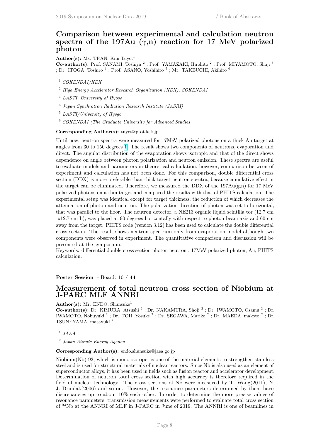## **Comparison between experimental and calculation neutron spectra of the 197Au (***γ***,n) reaction for 17 MeV polarized photon**

**Author(s):** Ms. TRAN, Kim Tuyet<sup>1</sup>

Co-author(s): Prof. SANAMI, Toshiya<sup>2</sup>; Prof. YAMAZAKI, Hirohito<sup>2</sup>; Prof. MIYAMOTO, Shuji<sup>3</sup> ; Dr. ITOGA, Toshiro  $^4$  ; Prof. ASANO, Yoshihiro  $^5$  ; Mr. TAKEUCHI, Akihiro  $^6$ 

- <sup>1</sup> *SOKENDAI/KEK*
- <sup>2</sup> *High Energy Accelerator Research Organization (KEK), SOKENDAI*
- <sup>3</sup> *LASTI, University of Hyogo*
- 4 *Japan Synchrotron Radiation Research Institute (JASRI)*
- <sup>5</sup> *LASTI/University of Hyogo*
- <sup>6</sup> *SOKENDAI (The Graduate University for Advanced Studies*

#### **Corresponding Author(s):** tuyet@post.kek.jp

Until now, neutron spectra were measured for 17MeV polarized photons on a thick Au target at angles from 30 to 150 degrees [1.](https://www.jcprg.org/temp/fig-169Yb.png) The result shows two components of neutrons, evaporation and direct. The angular distribution of the evaporation shows isotropic and that of the direct shows dependence on angle between photon polarization and neutron emission. These spectra are useful to evaluate models and parameters in theoretical calculation, however, comparison between of experiment and calculation has not been done. For this comparison, double differential cross section (DDX) is more preferable than thick target neutron spectra, because cumulative effect in the target can be eliminated. Therefore, we measured the DDX of the  $197Au(g,n)$  for 17 MeV polarized photons on a thin target and compared the results with that of PHITS calculation. The experimental setup was identical except for target thickness, the reduction of which decreases the attenuation of photon and neutron. The polarization direction of photon was set to horizontal, that was parallel to the floor. The neutron detector, a NE213 organic liquid scintilla tor (12.7 cm x12.7 cm L), was placed at 90 degrees horizontally with respect to photon beam axis and 60 cm away from the target. PHITS code (version 3.12) has been used to calculate the double differential cross section. The result shows neutron spectrum only from evaporation model although two components were observed in experiment. The quantitative comparison and discussion will be presented at the symposium.

Keywords: differential double cross section photon neutron , 17MeV polarized photon, Au, PHITS calculation.

**Poster Session** - Board: 10 / **44**

## **Measurement of total neutron cross section of Niobium at J-PARC MLF ANNRI**

#### **Author(s):** Mr. ENDO, Shunsuke<sup>1</sup>

Co-author(s): Dr. KIMURA, Atsushi<sup>2</sup>; Dr. NAKAMURA, Shoji<sup>2</sup>; Dr. IWAMOTO, Osamu<sup>2</sup>; Dr. IWAMOTO, Nobuyuki<sup>2</sup>; Dr. TOH, Yosuke<sup>2</sup>; Dr. SEGAWA, Mariko<sup>2</sup>; Dr. MAEDA, makoto<sup>2</sup>; Dr. TSUNEYAMA, masayuki <sup>2</sup>

1 *JAEA*

2 *Japan Atomic Energy Agency*

#### **Corresponding Author(s):** endo.shunsuke@jaea.go.jp

Niobium(Nb)-93, which is mono isotope, is one of the material elements to strengthen stainless steel and is used for structural materials of nuclear reactors. Since Nb is also used as an element of superconductor alloys, it has been used in fields such as fusion reactor and accelerator development. Determination of neutron total cross section with high accuracy is therefore required in the field of nuclear technology. The cross sections of Nb were measured by T. Wang(2011), N. J. Drindak(2006) and so on. However, the resonance parameters determined by them have discrepancies up to about 10% each other. In order to determine the more precise values of resonance parameters, transmission measurements were performed to evaluate total cross section of <sup>93</sup>Nb at the ANNRI of MLF in J-PARC in June of 2019. The ANNRI is one of beamlines in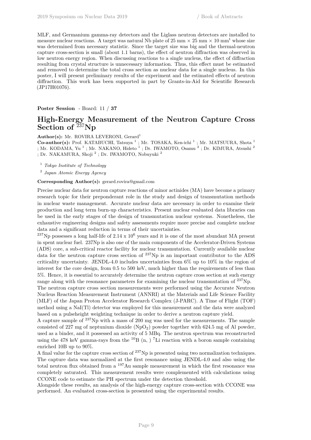MLF, and Germanium gamma-ray detectors and the Liglass neutron detectors are installed to measure nuclear reactions. A target was natural Nb plate of  $25 \text{ mm} \times 25 \text{ mm} \times 10 \text{ mm}^t$  whose size was determined from necessary statistic. Since the target size was big and the thermal-neutron capture cross-section is small (about 1.1 barns), the effect of neutron diffraction was observed in low neutron energy region. When discussing reactions to a single nucleus, the effect of diffraction resulting from crystal structure is unnecessary information. Thus, this effect must be estimated and removed to determine the total cross section as nuclear data for a single nucleus. In this poster, I will present preliminary results of the experiment and the estimated effects of neutron diffraction. This work has been supported in part by Grants-in-Aid for Scientific Research (JP17H01076).

**Poster Session** - Board: 11 / **37**

## **High-Energy Measurement of the Neutron Capture Cross Section of** <sup>237</sup>**Np**

Author(s): Mr. ROVIRA LEVERONI, Gerard<sup>1</sup>

**Co-author(s):** Prof. KATABUCHI, Tatsuya<sup>1</sup>; Mr. TOSAKA, Ken-ichi<sup>1</sup>; Mr. MATSUURA, Shota<sup>1</sup> ; Mr. KODAMA, Yu<sup>1</sup>; Mr. NAKANO, Hideto<sup>1</sup>; Dr. IWAMOTO, Osamu<sup>2</sup>; Dr. KIMURA, Atsushi<sup>2</sup> ; Dr. NAKAMURA, Shoji  $^2$  ; Dr. IWAMOTO, Nobuyuki  $^2$ 

<sup>1</sup> *Tokyo Institute of Technology*

2 *Japan Atomic Energy Agency*

**Corresponding Author(s):** gerard.rovira@gmail.com

Precise nuclear data for neutron capture reactions of minor actinides (MA) have become a primary research topic for their preponderant role in the study and design of transmutation methods in nuclear waste management. Accurate nuclear data are necessary in order to examine their production and long term burn-up characteristics. Present nuclear evaluated data libraries can be used in the early stages of the design of transmutation nuclear systems. Nonetheless, the exhaustive engineering designs and safety assessments require more precise and complete nuclear data and a significant reduction in terms of their uncertainties.

<sup>237</sup>Np possesses a long half-life of 2.14 x  $10^6$  years and it is one of the most abundant MA present in spent nuclear fuel. 237Np is also one of the main components of the Accelerator-Driven Systems (ADS) core, a sub-critical reactor facility for nuclear transmutation. Currently available nuclear data for the neutron capture cross section of  $^{237}\text{Np}$  is an important contributor to the ADS criticality uncertainty. JENDL-4.0 includes uncertainties from  $6\%$  up to  $10\%$  in the region of interest for the core design, from 0.5 to 500 keV, much higher than the requirements of less than 5%. Hence, it is essential to accurately determine the neutron capture cross section at such energy range along with the resonance parameters for examining the nuclear transmutation of  $237Np$ .

The neutron capture cross section measurements were performed using the Accurate Neutron Nucleus Reaction Measurement Instrument (ANNRI) at the Materials and Life Science Facility (MLF) of the Japan Proton Accelerator Research Complex (J-PARC). A Time of Flight (TOF) method using a NaI(Tl) detector was employed for this measurement and the data were analyzed based on a pulseheight weighting technique in order to derive a neutron capture yield.

A capture sample of <sup>237</sup>Np with a mass of 200 mg was used for the measurements. The sample consisted of 227 mg of neptunium dioxide  $(NpO<sub>2</sub>)$  powder together with 624.5 mg of Al powder, used as a binder, and it possessed an activity of 5 MBq. The neutron spectrum was reconstructed using the 478 keV gamma-rays from the  ${}^{10}B$  (n, ) <sup>7</sup>Li reaction with a boron sample containing enriched 10B up to 90%.

A final value for the capture cross section of  $^{237}$ Np is presented using two normalization techniques. The capture data was normalized at the first resonance using JENDL-4.0 and also using the total neutron flux obtained from a <sup>197</sup>Au sample measurement in which the first resonance was completely saturated. This measurement results were complemented with calculations using CCONE code to estimate the PH spectrum under the detection threshold.

Alongside these results, an analysis of the high-energy capture cross-section with CCONE was performed. An evaluated cross-section is presented using the experimental results.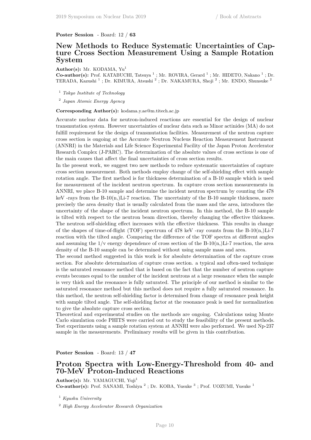**Poster Session** - Board: 12 / **63**

## **New Methods to Reduce Systematic Uncertainties of Capture Cross Section Measurement Using a Sample Rotation System**

**Author(s):** Mr. KODAMA, Yu<sup>1</sup>

Co-author(s): Prof. KATABUCHI, Tatsuya<sup>1</sup>; Mr. ROVIRA, Gerard<sup>1</sup>; Mr. HIDETO, Nakano<sup>1</sup>; Dr. TERADA, Kazushi<sup>1</sup>; Dr. KIMURA, Atsushi<sup>2</sup>; Dr. NAKAMURA, Shoji<sup>2</sup>; Mr. ENDO, Shunsuke<sup>2</sup>

<sup>1</sup> *Tokyo Institute of Technology*

2 *Japan Atomic Energy Agency*

**Corresponding Author(s):** kodama.y.ae@m.titech.ac.jp

Accurate nuclear data for neutron-induced reactions are essential for the design of nuclear transmutation system. However uncertainties of nuclear data such as Minor actinides (MA) do not fulfill requirement for the design of transmutation facilities. Measurement of the neutron capture cross section is ongoing at the Accurate Neutron Nucleus Reaction Measurement Instrument (ANNRI) in the Materials and Life Science Experimental Facility of the Japan Proton Accelerator Research Complex (J-PARC). The determination of the absolute values of cross sections is one of the main causes that affect the final uncertainties of cross section results.

In the present work, we suggest two new methods to reduce systematic uncertainties of capture cross section measurement. Both methods employ change of the self-shielding effect with sample rotation angle. The first method is for thickness determination of a B-10 sample which is used for measurement of the incident neutron spectrum. In capture cross section measurements in ANNRI, we place B-10 sample and determine the incident neutron spectrum by counting the 478 keV -rays from the B-10(n,)Li-7 reaction. The uncertainty of the B-10 sample thickness, more precisely the area density that is usually calculated from the mass and the area, introduces the uncertainty of the shape of the incident neutron spectrum. In this method, the B-10 sample is tilted with respect to the neutron beam direction, thereby changing the effective thickness. The neutron self-shielding effect increases with the effective thickness. This results in change of the shapes of time-of-flight (TOF) spectrum of 478 keV -ray counts from the  $B-10(n)$ Li-7 reaction with the tilted angle. Comparing the difference of the TOF spectra at different angles and assuming the  $1/\nu$  energy dependence of cross section of the B-10(n,)Li-7 reaction, the area density of the B-10 sample can be determined without using sample mass and area.

The second method suggested in this work is for absolute determination of the capture cross section. For absolute determination of capture cross section. a typical and often-used technique is the saturated resonance method that is based on the fact that the number of neutron capture events becomes equal to the number of the incident neutrons at a large resonance when the sample is very thick and the resonance is fully saturated. The principle of our method is similar to the saturated resonance method but this method does not require a fully saturated resonance. In this method, the neutron self-shielding factor is determined from change of resonance peak height with sample tilted angle. The self-shielding factor at the resonance peak is used for normalization to give the absolute capture cross section.

Theoretical and experimental studies on the methods are ongoing. Calculations using Monte Carlo simulation code PHITS were carried out to study the feasibility of the present methods. Test experiments using a sample rotation system at ANNRI were also performed. We used Np-237 sample in the measurements. Preliminary results will be given in this contribution.

**Poster Session** - Board: 13 / **47**

## **Proton Spectra with Low-Energy-Threshold from 40- and 70-MeV Proton-Induced Reactions**

Author(s): Mr. YAMAGUCHI, Yuji<sup>1</sup> **Co-author(s):** Prof. SANAMI, Toshiya<sup>2</sup>; Dr. KOBA, Yusuke<sup>3</sup>; Prof. UOZUMI, Yusuke<sup>1</sup>

<sup>1</sup> *Kyushu University*

<sup>2</sup> *High Energy Accelerator Research Organization*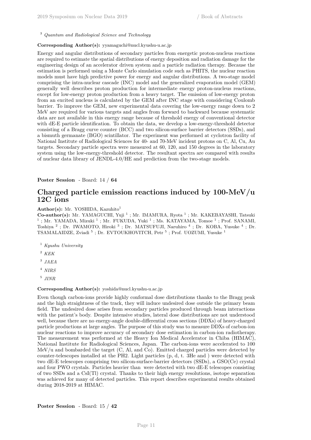<sup>3</sup> *Quantum and Radiological Science and Technology*

## **Corresponding Author(s):** yyamaguchi@nucl.kyushu-u.ac.jp

Energy and angular distributions of secondary particles from energetic proton-nucleus reactions are required to estimate the spatial distributions of energy deposition and radiation damage for the engineering design of an accelerator driven system and a particle radiation therapy. Because the estimation is performed using a Monte Carlo simulation code such as PHITS, the nuclear reaction models must have high predictive power for energy and angular distributions. A two-stage model comprising the intra-nuclear cascade (INC) model and the generalized evaporation model (GEM) generally well describes proton production for intermediate energy proton-nucleus reactions, except for low-energy proton production from a heavy target. The emission of low-energy proton from an excited nucleus is calculated by the GEM after INC stage with considering Coulomb barrier. To improve the GEM, new experimental data covering the low-energy range down to 2 MeV are required for various targets and angles from forward to backward because systematic data are not available in this energy range because of threshold energy of conventional detector with dE-E particle identification. To obtain the data, we develop a low-energy-threshold detector consisting of a Bragg curve counter (BCC) and two silicon-surface barrier detectors (SSDs), and a bismuth germanate (BGO) scintillator. The experiment was performed at cyclotron facility of National Institute of Radiological Sciences for 40- and 70-MeV incident protons on C, Al, Cu, Au targets. Secondary particle spectra were measured at 60, 120, and 150 degrees in the laboratory system using the low-energy-threshold detector. The resultant spectra are compared with results of nuclear data library of JENDL-4.0/HE and prediction from the two-stage models.

**Poster Session** - Board: 14 / **64**

## **Charged particle emission reactions induced by 100-MeV/u 12C ions**

#### **Author(s):** Mr. YOSHIDA, Kazuhito<sup>1</sup>

Co-author(s): Mr. YAMAGUCHI, Yuji<sup>1</sup>; Mr. IMAMURA, Ryota<sup>1</sup>; Mr. KAKEBAYASHI, Tatsuki <sup>1</sup>; Mr. YAMADA, Mizuki<sup>1</sup>; Mr. FUKUDA, Yuki<sup>1</sup>; Ms. KATAYAMA, Tomoe<sup>1</sup>; Prof. SANAMI, Toshiya<sup>2</sup>; Dr. IWAMOTO, Hiroki<sup>3</sup>; Dr. MATSUFUJI, Naruhiro<sup>4</sup>; Dr. KOBA, Yusuke<sup>4</sup>; Dr. TSAMALAIDZE, Zviadi<sup>5</sup>; Dr. EVTOUKHOVITCH, Petr<sup>5</sup>; Prof. UOZUMI, Yusuke<sup>1</sup>

- <sup>1</sup> *Kyushu University*
- <sup>2</sup> *KEK*
- 3 *JAEA*
- <sup>4</sup> *NIRS*
- 5 *JINR*

#### **Corresponding Author(s):** yoshida@nucl.kyushu-u.ac.jp

Even though carbon-ions provide highly conformal dose distributions thanks to the Bragg peak and the high straightness of the track, they will induce undesired dose outside the primary beam field. The undesired dose arises from secondary particles produced through beam interactions with the patient's body. Despite intensive studies, lateral dose distributions are not understood well, because there are no energy-angle double-differential cross sections (DDXs) of heavy-charged particle productions at large angles. The purpose of this study was to measure DDXs of carbon-ion nuclear reactions to improve accuracy of secondary dose estimation in carbon-ion radiotherapy. The measurement was performed at the Heavy Ion Medical Accelerator in Chiba (HIMAC), National Institute for Radiological Sciences, Japan. The carbon-ions were accelerated to 100 MeV/u and bombarded the target (C, Al, and Co). Emitted charged particles were detected by counter-telescopes installed at the PH2. Light particles (p, d, t. 3He and ) were detected with two dE-E telescopes comprising two silicon-surface-barrier detectors (SSDs), a GSO(Ce) crystal and four PWO crystals. Particles heavier than were detected with two dE-E telescopes consisting of two SSDs and a CsI(Tl) crystal. Thanks to their high energy resolutions, isotope separation was achieved for many of detected particles. This report describes experimental results obtained during 2018-2019 at HIMAC.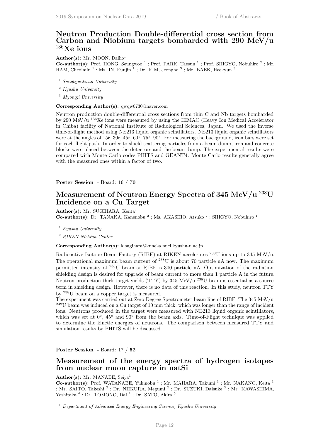## **Neutron Production Double-differential cross section from Carbon and Niobium targets bombarded with 290 MeV/u** <sup>136</sup>**Xe ions**

Author(s): Mr. MOON, Dalho<sup>1</sup> Co-author(s): Prof. HONG, Seungwoo<sup>1</sup>; Prof. PARK, Taesun<sup>1</sup>; Prof. SHIGYO, Nobuhiro<sup>2</sup>; Mr. HAM, Cheolmin<sup>1</sup>; Ms. IN, Eunjin<sup>1</sup>; Dr. KIM, Jeongho<sup>3</sup>; Mr. BAEK, Heekyun<sup>3</sup>

- <sup>1</sup> *Sungkyunkwan University*
- <sup>2</sup> *Kyushu University*
- <sup>3</sup> *Myongji University*

#### **Corresponding Author(s):** qwqw0730@naver.com

Neutron production double-differential cross sections from thin C and Nb targets bombarded by 290 MeV/u <sup>136</sup>Xe ions were measured by using the HIMAC (Heavy Ion Medical Accelerator in Chiba) facility of National Institute of Radiological Sciences, Japan. We used the inverse time-of-flight method using NE213 liquid organic scintillators. NE213 liquid organic scintillators were at the angles of 15ř, 30ř, 45ř, 60ř, 75ř, 90ř. For measuring the background, iron bars were set for each flight path. In order to shield scattering particles from a beam dump, iron and concrete blocks were placed between the detectors and the beam dump. The experimental results were compared with Monte Carlo codes PHITS and GEANT4. Monte Carlo results generally agree with the measured ones within a factor of two.

**Poster Session** - Board: 16 / **70**

## **Measurement of Neutron Energy Spectra of 345 MeV/u** <sup>238</sup>**U Incidence on a Cu Target**

Author(s): Mr. SUGIHARA, Kenta<sup>1</sup>

**Co-author(s):** Dr. TANAKA, Kanenobu<sup>2</sup>; Ms. AKASHIO, Atsuko<sup>2</sup>; SHIGYO, Nobuhiro<sup>1</sup>

<sup>1</sup> *Kyushu University*

<sup>2</sup> *RIKEN Nishina Center*

**Corresponding Author(s):** k.sugihara@kune2a.nucl.kyushu-u.ac.jp

Radioactive Isotope Beam Factory (RIBF) at RIKEN accelerates <sup>238</sup>U ions up to 345 MeV/u. The operational maximum beam current of  $^{238}$ U is about 70 particle nA now. The maximum permitted intensity of <sup>238</sup>U beam at RIBF is 300 particle nA. Optimization of the radiation shielding design is desired for upgrade of beam current to more than 1 particle A in the future. Neutron production thick target yields (TTY) by 345 MeV/u  $^{238}$ U beam is essential as a source term in shielding design. However, there is no data of this reaction. In this study, neutron TTY by <sup>238</sup>U beam on a copper target is measured.

The experiment was carried out at Zero Degree Spectrometer beam line of RIBF. The 345 MeV/u <sup>238</sup>U beam was induced on a Cu target of 10 mm thick, which was longer than the range of incident ions. Neutrons produced in the target were measured with NE213 liquid organic scintillators, which was set at 0°, 45° and 90° from the beam axis. Time-of-Flight technique was applied to determine the kinetic energies of neutrons. The comparison between measured TTY and simulation results by PHITS will be discussed.

**Poster Session** - Board: 17 / **52**

## **Measurement of the energy spectra of hydrogen isotopes from nuclear muon capture in natSi**

## Author(s): Mr. MANABE, Seiva<sup>1</sup>

**Co-author(s):** Prof. WATANABE, Yukinobu<sup>1</sup>; Mr. MAHARA, Takumi<sup>1</sup>; Mr. NAKANO, Keita<sup>1</sup> ; Mr. SAITO, Takeshi<sup>2</sup>; Dr. NIIKURA, Megumi<sup>2</sup>; Dr. SUZUKI, Daisuke<sup>3</sup>; Mr. KAWASHIMA, Yoshitaka  $^4$ ; Dr. TOMONO, Dai  $^4$ ; Dr. SATO, Akira  $^5$ 

<sup>1</sup> *Department of Advanced Energy Engineering Science, Kyushu University*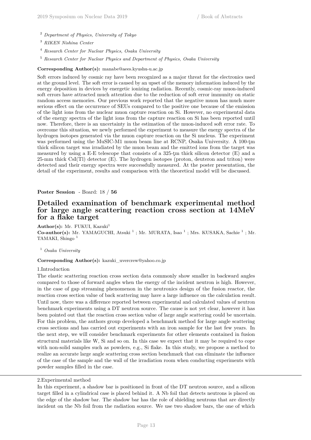- <sup>2</sup> *Department of Physics, University of Tokyo*
- <sup>3</sup> *RIKEN Nishina Center*
- <sup>4</sup> *Research Center for Nuclear Physics, Osaka University*
- <sup>5</sup> *Research Center for Nuclear Physics and Department of Physics, Osaka University*

## **Corresponding Author(s):** manabe@aees.kyushu-u.ac.jp

Soft errors induced by cosmic ray have been recognized as a major threat for the electronics used at the ground level. The soft error is caused by an upset of the memory information induced by the energy deposition in devices by energetic ionizing radiation. Recently, cosmic-ray muon-induced soft errors have attracted much attention due to the reduction of soft error immunity on static random access memories. Our previous work reported that the negative muon has much more serious effect on the occurrence of SEUs compared to the positive one because of the emission of the light ions from the nuclear muon capture reaction on Si. However, no experimental data of the energy spectra of the light ions from the capture reaction on Si has been reported until now. Therefore, there is an uncertainty in the estimation of the muon-induced soft error rate. To overcome this situation, we newly performed the experiment to measure the energy spectra of the hydrogen isotopes generated via the muon capture reaction on the Si nucleus. The experiment was performed using the MuSIC-M1 muon beam line at RCNP, Osaka University. A 100-tm thick silicon target was irradiated by the muon beam and the emitted ions from the target was measured by using a E-E telescope that consists of a 325-ţm thick silicon detector (E) and a 25-mm thick CsI(Tl) detector (E). The hydrogen isotopes (proton, deuteron and triton) were detected and their energy spectra were successfully measured. At the poster presentation, the detail of the experiment, results and comparison with the theoretical model will be discussed.

#### **Poster Session** - Board: 18 / **56**

## **Detailed examination of benchmark experimental method for large angle scattering reaction cross section at 14MeV for a flake target**

Author(s): Mr. FUKUI, Kazuki<sup>1</sup> Co-author(s): Mr. YAMAGUCHI, Atsuki<sup>1</sup>; Mr. MURATA, Isao<sup>1</sup>; Mrs. KUSAKA, Sachie<sup>1</sup>; Mr. TAMAKI, Shingo<sup>1</sup>

<sup>1</sup> *Osaka University*

#### **Corresponding Author(s):** kazuki\_uvercrew@yahoo.co.jp

#### 1.Introduction

The elastic scattering reaction cross section data commonly show smaller in backward angles compared to those of forward angles when the energy of the incident neutron is high. However, in the case of gap streaming phenomenon in the neutronics design of the fusion reactor, the reaction cross section value of back scattering may have a large influence on the calculation result. Until now, there was a difference reported between experimental and calculated values of neutron benchmark experiments using a DT neutron source. The cause is not yet clear, however it has been pointed out that the reaction cross section value of large angle scattering could be uncertain. For this problem, the authors group developed a benchmark method for large angle scattering cross sections and has carried out experiments with an iron sample for the last few years. In the next step, we will consider benchmark experiments for other elements contained in fusion structural materials like W, Si and so on. In this case we expect that it may be required to cope with non-solid samples such as powders, e.g., Si flake. In this study, we propose a method to realize an accurate large angle scattering cross section benchmark that can eliminate the influence of the case of the sample and the wall of the irradiation room when conducting experiments with powder samples filled in the case.

<sup>2.</sup>Experimental method

In this experiment, a shadow bar is positioned in front of the DT neutron source, and a silicon target filled in a cylindrical case is placed behind it. A Nb foil that detects neutrons is placed on the edge of the shadow bar. The shadow bar has the role of shielding neutrons that are directly incident on the Nb foil from the radiation source. We use two shadow bars, the one of which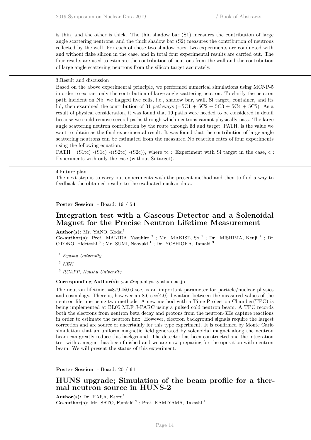is thin, and the other is thick. The thin shadow bar (S1) measures the contribution of large angle scattering neutrons, and the thick shadow bar (S2) measures the contribution of neutrons reflected by the wall. For each of these two shadow bars, two experiments are conducted with and without flake silicon in the case, and in total four experimental results are carried out. The four results are used to estimate the contribution of neutrons from the wall and the contribution of large angle scattering neutrons from the silicon target accurately.

#### 3.Result and discussion

Based on the above experimental principle, we performed numerical simulations using MCNP-5 in order to extract only the contribution of large angle scattering neutron. To clarify the neutron path incident on Nb, we flagged five cells, i.e., shadow bar, wall, Si target, container, and its lid, then examined the contribution of 31 pathways ( $=5C1 + 5C2 + 5C3 + 5C4 + 5C5$ ). As a result of physical consideration, it was found that 19 paths were needed to be considered in detail because we could remove several paths through which neutrons cannot physically pass. The large angle scattering neutron contribution by the route through lid and target, PATH, is the value we want to obtain as the final experimental result. It was found that the contribution of large angle scattering neutrons can be estimated from the measured Nb reaction rates of four experiments using the following equation.

PATH  $=(S1tc)$   $-(S1c)$   $-(S2tc)$ , where tc : Experiment with Si target in the case, c : Experiments with only the case (without Si target).

#### 4.Future plan

The next step is to carry out experiments with the present method and then to find a way to feedback the obtained results to the evaluated nuclear data.

**Poster Session** - Board: 19 / **54**

## **Integration test with a Gaseous Detector and a Solenoidal Magnet for the Precise Neutron Lifetime Measurement**

Author(s): Mr. YANO, Kodai<sup>1</sup>

**Co-author(s):** Prof. MAKIDA, Yasuhiro<sup>2</sup>; Mr. MAKISE, So<sup>1</sup>; Dr. MISHIMA, Kenji<sup>2</sup>; Dr. OTONO, Hidetoshi<sup>3</sup>; Mr. SUMI, Naoyuki<sup>1</sup>; Dr. YOSHIOKA, Tamaki<sup>3</sup>

<sup>1</sup> *Kyushu University*

<sup>2</sup> *KEK*

<sup>3</sup> *RCAPP, Kyushu University*

#### **Corresponding Author(s):** yano@epp.phys.kyushu-u.ac.jp

The neutron lifetime, =879.4ś0.6 sec, is an important parameter for particle/nuclear physics and cosmology. There is, however an 8.6 sec(4.0) deviation between the measured values of the neutron lifetime using two methods. A new method with a Time Projection Chamber(TPC) is being implemented at BL05 MLF J-PARC using a pulsed cold neutron beam. A TPC records both the electrons from neutron beta decay and protons from the neutron-3He capture reactions in order to estimate the neutron flux. However, electron background signals require the largest correction and are source of uncertainly for this type experiment. It is confirmed by Monte Carlo simulation that an uniform magnetic field generated by solenoidal magnet along the neutron beam can greatly reduce this background. The detector has been constructed and the integration test with a magnet has been finished and we are now preparing for the operation with neutron beam. We will present the status of this experiment.

**Poster Session** - Board: 20 / **61**

## **HUNS upgrade; Simulation of the beam profile for a thermal neutron source in HUNS-2**

Author(s): Dr. HARA, Kaoru<sup>1</sup> Co-author(s): Mr. SATO, Fumiaki<sup>2</sup>; Prof. KAMIYAMA, Takashi<sup>1</sup>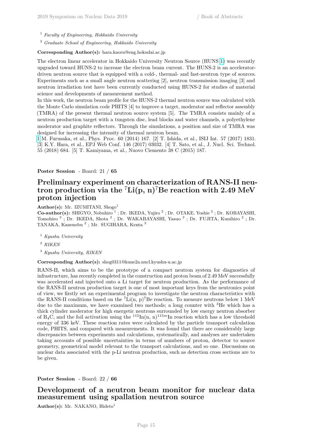<sup>1</sup> *Faculty of Engineering, Hokkaido University*

<sup>2</sup> *Graduate School of Engineering, Hokkaido University*

#### **Corresponding Author(s):** hara.kaoru@eng.hokudai.ac.jp

The electron linear accelerator in Hokkaido University Neutron Source (HUNS [1\)](https://www.jcprg.org/temp/fig-169Yb.png) was recently upgraded toward HUNS-2 to increase the electron beam current. The HUNS-2 is an acceleratordriven neutron source that is equipped with a cold-, thermal- and fast-neutron type of sources. Experiments such as a small angle neutron scattering [2], neutron transmission imaging [3] and neutron irradiation test have been currently conducted using HUNS-2 for studies of material science and developments of measurement method.

In this work, the neutron beam profile for the HUNS-2 thermal neutron source was calculated with the Monte Carlo simulation code PHITS [4] to improve a target, moderator and reflector assembly (TMRA) of the present thermal neutron source system [5]. The TMRA consists mainly of a neutron production target with a tungsten disc, lead blocks and water channels, a polyethylene moderator and graphite reflectors. Through the simulations, a position and size of TMRA was designed for increasing the intensity of thermal neutron beam.

[1](https://www.jcprg.org/temp/fig-169Yb.png) M. Furusaka, et al., Phys. Proc. 60 (2014) 167. [2] T. Ishida, et al., ISIJ Int. 57 (2017) 1831. [3] K.Y. Hara, et al., EPJ Web Conf. 146 (2017) 03032. [4] T. Sato, et al., J. Nucl. Sci. Technol. 55 (2018) 684. [5] T. Kamiyama, et al., Nuovo Ciemento 38 C (2015) 187.

#### **Poster Session** - Board: 21 / **65**

## **Preliminary experiment on characterization of RANS-II neutron production via the** <sup>7</sup>**Li(p, n)**<sup>7</sup>**Be reaction with 2.49 MeV proton injection**

Author(s): Mr. IZUMITANI, Shogo<sup>1</sup>

Co-author(s): SHIGYO, Nobuhiro<sup>1</sup>; Dr. IKEDA, Yujiro<sup>2</sup>; Dr. OTAKE, Yoshie<sup>2</sup>; Dr. KOBAYASHI, Tomohiro<sup>2</sup>; Dr. IKEDA, Shota<sup>2</sup>; Dr. WAKABAYASHI, Yasuo<sup>2</sup>; Dr. FUJITA, Kunihiro<sup>2</sup>; Dr. TANAKA, Kanenobu<sup>2</sup>; Mr. SUGIHARA, Kenta<sup>3</sup>

- <sup>1</sup> *Kyushu University*
- <sup>2</sup> *RIKEN*
- <sup>3</sup> *Kyushu University, RIKEN*

#### **Corresponding Author(s):** shog0311@kune2a.nucl.kyushu-u.ac.jp

RANS-II, which aims to be the prototype of a compact neutron system for diagnostics of infrastructure, has recently completed in the construction and proton beam of 2.49 MeV successfully was accelerated and injected onto a Li target for neutron production. As the performance of the RANS-II neutron production target is one of most important keys from the neutronics point of view, we firstly set an experimental program to investigate the neutron characteristics with the RANS-II conditions based on the  ${}^{7}$ Li(n, p)<sup>7</sup>Be reaction. To measure neutrons below 1 MeV due to the maximum, we have examined two methods; a long counter with <sup>3</sup>He which has a thick cylinder moderator for high energetic neutrons surrounded by low energy neutron absorber of  $B_4C$ , and the foil activation using the  $115\text{In}(n, n)^{115m}\text{In reaction which has a low threshold}$ energy of 336 keV. These reaction rates were calculated by the particle transport calculation code, PHITS, and compared with measurements. It was found that there are considerably large discrepancies between experiments and calculations, systematically, and analyses are undertaken taking accounts of possible uncertainties in terms of numbers of proton, detector to source geometry, geometrical model relevant to the transport calculations, and so one. Discussions on nuclear data associated with the p-Li neutron production, such as detection cross sections are to be given.

#### **Poster Session** - Board: 22 / **66**

## **Development of a neutron beam monitor for nuclear data measurement using spallation neutron source**

Author(s): Mr. NAKANO, Hideto<sup>1</sup>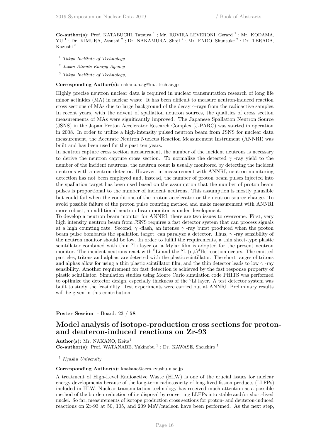Co-author(s): Prof. KATABUCHI, Tatsuya<sup>1</sup>; Mr. ROVIRA LEVERONI, Gerard<sup>1</sup>; Mr. KODAMA, YU<sup>1</sup>; Dr. KIMURA, Atsushi<sup>2</sup>; Dr. NAKAMURA, Shoji<sup>2</sup>; Mr. ENDO, Shunsuke<sup>2</sup>; Dr. TERADA, Kazushi $^3\,$ 

- <sup>1</sup> *Tokyo Institute of Technology*
- 2 *Japan Atomic Energy Agency*
- <sup>3</sup> *Tokyo Institute of Technology,*

**Corresponding Author(s):** nakano.h.ag@m.titech.ac.jp

Highly precise neutron nuclear data is required in nuclear transmutation research of long life minor actinides (MA) in nuclear waste. It has been difficult to measure neutron-induced reaction cross sections of MAs due to large background of the decay *γ*-rays from the radioactive samples. In recent years, with the advent of spallation neutron sources, the qualities of cross section measurements of MAs were significantly improved. The Japanese Spallation Neutron Source (JSNS) in the Japan Proton Accelerator Research Complex (J-PARC) was started in operation in 2008. In order to utilize a high-intensity pulsed neutron beam from JSNS for nuclear data measurement, the Accurate Neutron Nucleus Reaction Measurement Instrument (ANNRI) was built and has been used for the past ten years.

In neutron capture cross section measurement, the number of the incident neutrons is necessary to derive the neutron capture cross section. To normalize the detected *γ* -ray yield to the number of the incident neutrons, the neutron count is usually monitored by detecting the incident neutrons with a neutron detector. However, in measurement with ANNRI, neutron monitoring detection has not been employed and, instead, the number of proton beam pulses injected into the spallation target has been used based on the assumption that the number of proton beam pulses is proportional to the number of incident neutrons. This assumption is mostly plausible but could fail when the conditions of the proton accelerator or the neutron source change. To avoid possible failure of the proton pulse counting method and make measurement with ANNRI more robust, an additional neutron beam monitor is under development.

To develop a neutron beam monitor for ANNRI, there are two issues to overcome. First, very high intensity neutron beam from JSNS requires a fast detector system that can process signals at a high counting rate. Second,  $\gamma$ -flash, an intense  $\gamma$ -ray burst produced when the proton beam pulse bombards the spallation target, can paralyze a detector. Thus, *γ* -ray sensibility of the neutron monitor should be low. In order to fulfill the requirements, a thin sheet-type plastic scintillator combined with thin <sup>6</sup>Li layer on a Mylar film is adopted for the present neutron monitor. The incident neutrons react with <sup>6</sup>Li and the  ${}^{6}$ Li(n,t)<sup>4</sup>He reaction occurs. The emitted particles, tritons and alphas, are detected with the plastic scintillator. The short ranges of tritons and alphas allow for using a thin plastic scintillator film, and the thin detector leads to low  $\gamma$ -ray sensibility. Another requirement for fast detection is achieved by the fast response property of plastic scintillator. Simulation studies using Monte Carlo simulation code PHITS was performed to optimize the detector design, especially thickness of the  ${}^{6}$ Li layer. A test detector system was built to study the feasibility. Test experiments were carried out at ANNRI. Preliminary results will be given in this contribution.

**Poster Session** - Board: 23 / **58**

## **Model analysis of isotope-production cross sections for protonand deuteron-induced reactions on Zr-93**

Author(s): Mr. NAKANO, Keita<sup>1</sup> Co-author(s): Prof. WATANABE, Yukinobu<sup>1</sup>; Dr. KAWASE, Shoichiro<sup>1</sup>

<sup>1</sup> *Kyushu University*

**Corresponding Author(s):** knakano@aees.kyushu-u.ac.jp

A treatment of High-Level Radioactive Waste (HLW) is one of the crucial issues for nuclear energy developments because of the long-term radiotoxicity of long-lived fission products (LLFPs) included in HLW. Nuclear transmutation technology has received much attention as a possible method of the burden reduction of its disposal by converting LLFPs into stable and/or short-lived nuclei. So far, measurements of isotope production cross sections for proton- and deuteron-induced reactions on Zr-93 at 50, 105, and 209 MeV/nucleon have been performed. As the next step,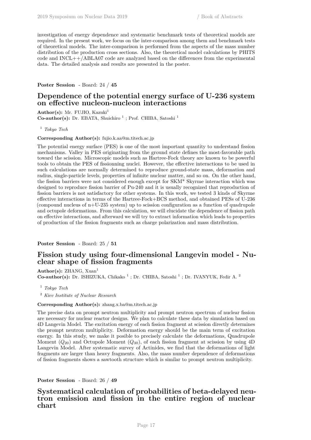investigation of energy dependence and systematic benchmark tests of theoretical models are required. In the present work, we focus on the inter-comparison among them and benchmark tests of theoretical models. The inter-comparison is performed from the aspects of the mass number distribution of the production cross sections. Also, the theoretical model calculations by PHITS code and  $INCL++/ABLA07$  code are analyzed based on the differences from the experimental data. The detailed analysis and results are presented in the poster.

**Poster Session** - Board: 24 / **45**

## **Dependence of the potential energy surface of U-236 system on effective nucleon-nucleon interactions**

Author(s): Mr. FUJIO, Kazuki<sup>1</sup> **Co-author(s):** Dr. EBATA, Shuichiro<sup>1</sup>; Prof. CHIBA, Satoshi<sup>1</sup>

<sup>1</sup> *Tokyo Tech*

**Corresponding Author(s):** fujio.k.aa@m.titech.ac.jp

The potential energy surface (PES) is one of the most important quantity to understand fission mechanisms. Valley in PES originating from the ground state defines the most-favorable path toward the scission. Microscopic models such as Hartree-Fock theory are known to be powerful tools to obtain the PES of fissionning nuclei. However, the effective interactions to be used in such calculations are normally determined to reproduce ground-state mass, deformation and radius, single-particle levels, properties of infinite nuclear matter, and so on. On the other hand, the fission barriers were not considered enough except for SKM\* Skyrme interaction which was designed to reproduce fission barrier of Pu-240 and it is usually recognized that reproduction of fission barriers is not satisfactory for other systems. In this work, we tested 3 kinds of Skyrme effective interactions in terms of the Hartree-Fock+BCS method, and obtained PESs of U-236 (compound nucleus of  $n+U-235$  system) up to scission configuration as a function of quadrupole and octupole deformations. From this calculation, we will elucidate the dependence of fission path on effective interactions, and afterward we will try to extract information which leads to properties of production of the fission fragments such as charge polarization and mass distribution.

**Poster Session** - Board: 25 / **51**

## **Fission study using four-dimensional Langevin model - Nuclear shape of fission fragments**

Author(s): ZHANG, Xuan<sup>1</sup> **Co-author(s):** Dr. ISHIZUKA, Chikako<sup>1</sup>; Dr. CHIBA, Satoshi<sup>1</sup>; Dr. IVANYUK, Fedir A.<sup>2</sup>

<sup>1</sup> *Tokyo Tech*

<sup>2</sup> *Kiev Institute of Nuclear Research*

#### **Corresponding Author(s):** zhang.x.ba@m.titech.ac.jp

The precise data on prompt neutron multiplicity and prompt neutron spectrum of nuclear fission are necessary for nuclear reactor designs. We plan to calculate these data by simulation based on 4D Langevin Model. The excitation energy of each fission fragment at scission directly determines the prompt neutron multiplicity. Deformation energy should be the main term of excitation energy. In this study, we make it posible to precisely calculate the deformations, Quadrupole Moment (*Q*20) and Octupole Moment (*Q*30), of each fission fragment at scission by using 4D Langevin Model. After systematic survey of Actinides, we find that the deformations of light fragments are larger than heavy fragments. Also, the mass number dependence of deformations of fission fragments shows a sawtooth structure which is similar to prompt neutron multiplicity.

**Poster Session** - Board: 26 / **49**

## **Systematical calculation of probabilities of beta-delayed neutron emission and fission in the entire region of nuclear chart**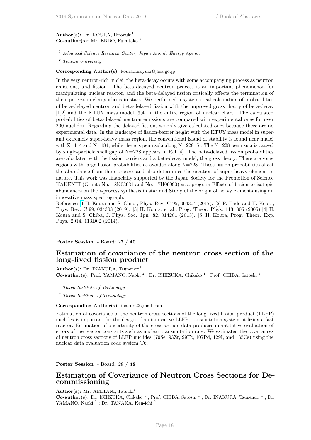#### Author(s): Dr. KOURA, Hiroyuki<sup>1</sup> **Co-author(s):** Mr. ENDO, Fumitaka <sup>2</sup>

<sup>1</sup> *Advanced Science Research Center, Japan Atomic Energy Agency*

<sup>2</sup> *Tohoku University*

**Corresponding Author(s):** koura.hiroyuki@jaea.go.jp

In the very neutron-rich nuclei, the beta-decay occurs with some accompanying process as neutron emissions, and fission. The beta-decayed neutron process is an important phenomenon for manipulating nuclear reactor, and the beta-delayed fission critically affects the termination of the r-process nucleosynthesis in stars. We performed a systematical calculation of probabilities of beta-delayed neutron and beta-delayed fission with the improved gross theory of beta-decay [1,2] and the KTUY mass model [3,4] in the entire region of nuclear chart. The calculated probabilities of beta-delayed neutron emissions are compared with experimental ones for over 200 nuclides. Regarding the delayed fission, we only give calculated ones because there are no experimental data. In the landscape of fission-barrier height with the KTUY mass model in superand extremely super-heavy mass region, the conventional island of stability is found near nuclei with  $Z=114$  and  $N=184$ , while there is peninsula along  $N=228$  [5]. The  $N=228$  peninsula is caused by single-particle shell gap of  $N=228$  appears in Ref [4]. The beta-delayed fission probabilities are calculated with the fission barriers and a beta-decay model, the gross theory. There are some regions with large fission probabilities as avoided along N=228. These fission probabilities affect the abundance from the r-process and also determines the creation of super-heavy element in nature. This work was financially supported by the Japan Society for the Promotion of Science KAKENHI (Grants No. 18K03631 and No. 17H06090) as a program Effects of fission to isotopic abundances on the r-process synthesis in star and Study of the origin of heavy elements using an innovative mass spectrograph.

References [1](https://www.jcprg.org/temp/fig-169Yb.png) H. Koura and S. Chiba, Phys. Rev. C 95, 064304 (2017). [2] F. Endo and H. Koura, Phys. Rev. C 99, 034303 (2019). [3] H. Koura, et al., Prog. Theor. Phys. 113, 305 (2005) [4] H. Koura and S. Chiba, J. Phys. Soc. Jpn. 82, 014201 (2013). [5] H. Koura, Prog. Theor. Exp. Phys. 2014, 113D02 (2014).

**Poster Session** - Board: 27 / **40**

## **Estimation of covariance of the neutron cross section of the long-lived fission product**

Author(s): Dr. INAKURA, Tsunenori<sup>1</sup> **Co-author(s):** Prof. YAMANO, Naoki<sup>2</sup>; Dr. ISHIZUKA, Chikako<sup>1</sup>; Prof. CHIBA, Satoshi<sup>1</sup>

<sup>1</sup> *Tokyo Institute of Technology*

<sup>2</sup> *Tokyo Institude of Technology*

#### **Corresponding Author(s):** inakura@gmail.com

Estimation of covariance of the neutron cross sections of the long-lived fission product (LLFP) nuclides is important for the design of an innovative LLFP transmutation system utilizing a fast reactor. Estimation of uncertainty of the cross-section data produces quantitative evaluation of errors of the reactor constants such as nuclear transmutation rate. We estimated the covariances of neutron cross sections of LLFP nuclides (79Se, 93Zr, 99Tc, 107Pd, 129I, and 135Cs) using the nuclear data evaluation code system T6.

**Poster Session** - Board: 28 / **48**

## **Estimation of Covariance of Neutron Cross Sections for Decommissioning**

Author(s): Mr. AMITANI, Tatsuki<sup>1</sup> Co-author(s): Dr. ISHIZUKA, Chikako<sup>1</sup>; Prof. CHIBA, Satoshi<sup>1</sup>; Dr. INAKURA, Tsunenori<sup>1</sup>; Dr. YAMANO, Naoki<sup>1</sup>; Dr. TANAKA, Ken-ichi<sup>2</sup>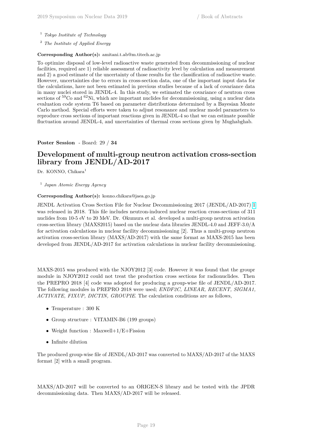- <sup>1</sup> *Tokyo Institute of Technology*
- <sup>2</sup> *The Institute of Applied Energy*

## **Corresponding Author(s):** amitani.t.ab@m.titech.ac.jp

To optimize disposal of low-level radioactive waste generated from decommissioning of nuclear facilities, required are 1) reliable assessment of radioactivity level by calculation and measurement and 2) a good estimate of the uncertainty of those results for the classification of radioactive waste. However, uncertainties due to errors in cross-section data, one of the important input data for the calculations, have not been estimated in previous studies because of a lack of covariance data in many nuclei stored in JENDL-4. In this study, we estimated the covariance of neutron cross sections of <sup>59</sup>Co and <sup>62</sup>Ni, which are important nuclides for decommissioning, using a nuclear data evaluation code system T6 based on parameter distributions determined by a Bayesian Monte Carlo method. Special efforts were taken to adjust resonance and nuclear model parameters to reproduce cross sections of important reactions given in JENDL-4 so that we can estimate possible fluctuation around JENDL-4, and uncertainties of thermal cross sections given by Mughabghab.

**Poster Session** - Board: 29 / **34**

## **Development of multi-group neutron activation cross-section library from JENDL/AD-2017**

Dr. KONNO, Chikara<sup>1</sup>

## 1 *Japan Atomic Energy Agency*

## **Corresponding Author(s):** konno.chikara@jaea.go.jp

JENDL Activation Cross Section File for Nuclear Decommissioning 2017 (JENDL/AD-2017) [1](https://www.jcprg.org/temp/fig-169Yb.png) was released in 2018. This file includes neutron-induced nuclear reaction cross-sections of 311 nuclides from 10-5 eV to 20 MeV. Dr. Okumura et al. developed a multi-group neutron activation cross-section library (MAXS2015) based on the nuclear data libraries JENDL-4.0 and JEFF-3.0/A for activation calculations in nuclear facility decommissioning [2]. Thus a multi-group neutron activation cross-section library (MAXS/AD-2017) with the same format as MAXS-2015 has been developed from JENDL/AD-2017 for activation calculations in nuclear facility decommissioning.

MAXS-2015 was produced with the NJOY2012 [3] code. However it was found that the groupr module in NJOY2012 could not treat the production cross sections for radionuclides. Then the PREPRO 2018 [4] code was adopted for producing a group-wise file of JENDL/AD-2017. The following modules in PREPRO 2018 were used; *ENDF2C, LINEAR, RECENT, SIGMA1, ACTIVATE, FIXUP, DICTIN, GROUPIE*. The calculation conditions are as follows,

- Temperature : 300 K
- Group structure : VITAMIN-B6 (199 groups)
- Weight function : Maxwell+1/E+Fission
- Infinite dilution

The produced group-wise file of JENDL/AD-2017 was converted to MAXS/AD-2017 of the MAXS format [2] with a small program.

MAXS/AD-2017 will be converted to an ORIGEN-S library and be tested with the JPDR decommissioning data. Then MAXS/AD-2017 will be released.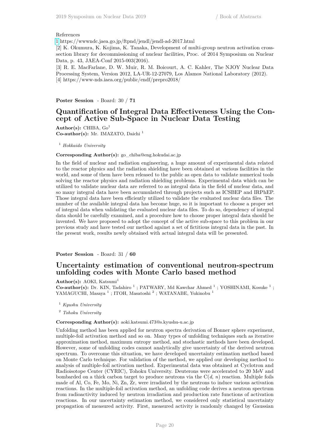#### References

[1](https://www.jcprg.org/temp/fig-169Yb.png) https://wwwndc.jaea.go.jp/ftpnd/jendl/jendl-ad-2017.html

[2] K. Okumura, K. Kojima, K. Tanaka, Development of multi-group neutron activation crosssection library for decommissioning of nuclear facilities, Proc. of 2014 Symposium on Nuclear Data, p. 43, JAEA-Conf 2015-003(2016).

[3] R. E. MacFarlane, D. W. Muir, R. M. Boicourt, A. C. Kahler, The NJOY Nuclear Data Processing System, Version 2012, LA-UR-12-27079, Los Alamos National Laboratory (2012). [4] https://www-nds.iaea.org/public/endf/prepro2018/

**Poster Session** - Board: 30 / **71**

## **Quantification of Integral Data Effectiveness Using the Concept of Active Sub-Space in Nuclear Data Testing**

**Author(s):** CHIBA, Go<sup>1</sup> **Co-author(s):** Mr. IMAZATO, Daichi <sup>1</sup>

<sup>1</sup> *Hokkaido University*

#### **Corresponding Author(s):** go\_chiba@eng.hokudai.ac.jp

In the field of nuclear and radiation engineering, a huge amount of experimental data related to the reactor physics and the radiation shielding have been obtained at various facilities in the world, and some of them have been released to the public as open data to validate numerical tools solving the reactor physics and radiation shielding problems. Experimental data which can be utilized to validate nuclear data are referred to as integral data in the field of nuclear data, and so many integral data have been accumulated through projects such as ICSBEP and IRPhEP. Those integral data have been efficiently utilized to validate the evaluated nuclear data files. The number of the available integral data has become huge, so it is important to choose a proper set of integral data when validating the evaluated nuclear data files. To do so, dependency of integral data should be carefully examined, and a procedure how to choose proper integral data should be invented. We have proposed to adopt the concept of the active sub-space to this problem in our previous study and have tested our method against a set of fictitious integral data in the past. In the present work, results newly obtained with actual integral data will be presented.

**Poster Session** - Board: 31 / **60**

## **Uncertainty estimation of conventional neutron-spectrum unfolding codes with Monte Carlo based method**

Author(s): AOKI, Katsumi<sup>1</sup>

**Co-author(s):** Dr. KIN, Tadahiro<sup>1</sup>; PATWARY, Md Kawchar Ahmed<sup>1</sup>; YOSHINAMI, Kosuke<sup>1</sup>; YAMAGUCHI, Masaya<sup>1</sup>; ITOH, Masatoshi<sup>2</sup>; WATANABE, Yukinobu<sup>1</sup>

<sup>1</sup> *Kyushu University*

<sup>2</sup> *Tohoku University*

#### **Corresponding Author(s):** aoki.katsumi.473@s.kyushu-u.ac.jp

Unfolding method has been applied for neutron spectra derivation of Bonner sphere experiment, multiple-foil activation method and so on. Many types of unfolding techniques such as iterative approximation method, maximum entropy method, and stochastic methods have been developed. However, some of unfolding codes cannot analytically give uncertainty of the derived neutron spectrum. To overcome this situation, we have developed uncertainty estimation method based on Monte Carlo technique. For validation of the method, we applied our developing method to analysis of multiple-foil activation method. Experimental data was obtained at Cyclotron and Radioisotope Center (CYRIC), Tohoku University. Deuterons were accelerated to 20 MeV and bombarded on a thick carbon target to produce neutrons via the C(*d*, *n*) reaction. Multiple foils made of Al, Co, Fe, Mo, Ni, Zn, Zr, were irradiated by the neutrons to induce various activation reactions. In the multiple-foil activation method, an unfolding code derives a neutron spectrum from radioactivity induced by neutron irradiation and production rate functions of activation reactions. In our uncertainty estimation method, we considered only statistical uncertainty propagation of measured activity. First, measured activity is randomly changed by Gaussian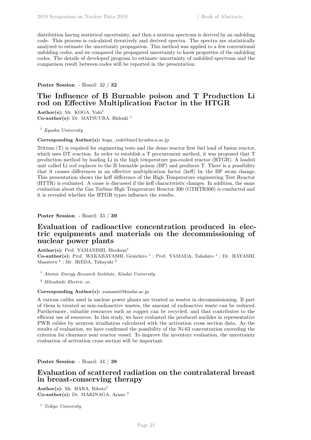distribution having statistical uncertainty, and then a neutron spectrum is derived by an unfolding code. This process is calculated iteratively and derived spectra. The spectra are statistically analyzed to estimate the uncertainty propagation. This method was applied to a few conventional unfolding codes, and we compared the propagated uncertainty to know properties of the unfolding codes. The details of developed program to estimate uncertainty of unfolded spectrum and the comparison result between codes will be reported in the presentation.

#### **Poster Session** - Board: 32 / **32**

## **The Influence of B Burnable poison and T Production Li rod on Effective Multiplication Factor in the HTGR**

Author(s): Mr. KOGA, Yuki<sup>1</sup> **Co-author(s):** Dr. MATSUURA, Hideaki <sup>1</sup>

<sup>1</sup> *Kyushu University*

**Corresponding Author(s):** koga\_yuki@nucl.kyushu-u.ac.jp

Tritium (T) is required for engineering tests and the demo reactor first fuel load of fusion reactor, which uses DT reaction. In order to establish a T procurement method, it was proposed that T production method by loading Li in the high temperature gas-cooled reactor (HTGR). A loaded unit called Li rod replaces to the B burnable poison (BP) and produces T. There is a possibility that it causes differences in an effective multiplication factor (keff) by the BP atom change. This presentation shows the keff difference of the High Temperature engineering Test Reactor (HTTR) is evaluated. A cause is discussed if the keff characteristic changes. In addition, the same evaluation about the Gas Turbine High Temperature Reactor 300 (GTHTR300) is conducted and it is revealed whether the HTGR types influence the results.

**Poster Session** - Board: 33 / **39**

## **Evaluation of radioactive concentration produced in electric equipments and materials on the decommissioning of nuclear power plants**

Author(s): Prof. YAMANISHI, Hirokuni<sup>1</sup>

Co-author(s): Prof. WAKABAYASHI, Genichiro<sup>1</sup>; Prof. YAMADA, Takahiro<sup>1</sup>; Dr. HAYASHI, Masateru <sup>2</sup> ; Mr. IKEDA, Takayuki <sup>2</sup>

<sup>1</sup> *Atomic Energy Research Institute, Kindai University*

<sup>2</sup> *Mitsubishi Electric co.*

#### **Corresponding Author(s):** yamanisi@kindai.ac.jp

A various cables used in nuclear power plants are treated as wastes in decommissioning. If part of them is treated as non-radioactive wastes, the amount of radioactive waste can be reduced. Furthermore, valuable resources such as copper can be recycled, and that contributes to the efficient use of resources. In this study, we have evaluated the produced nuclides in representative PWR cables by neutron irradiation calculated with the activation cross section data. As the results of evaluation, we have confirmed the possibility of the Ni-63 concentration exceeding the criterion for clearance near reactor vessel. To improve the inventory evaluation, the uncertainty evaluation of activation cross section will be important.

**Poster Session** - Board: 34 / **38**

## **Evaluation of scattered radiation on the contralateral breast in breast-conserving therapy**

Author(s): Mr. HARA, Rikuto<sup>1</sup> **Co-author(s):** Dr. MAKINAGA, Ayano <sup>2</sup>

<sup>1</sup> *Teikyo University*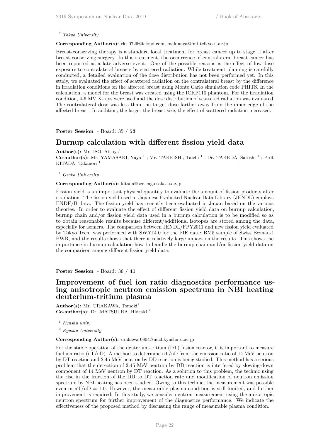#### <sup>2</sup> *Tokyo University*

#### **Corresponding Author(s):** rkt.0726@icloud.com, makinaga@fmt.teikyo-u.ac.jp

Breast-conserving therapy is a standard local treatment for breast cancer up to stage II after breast-conserving surgery. In this treatment, the occurrence of contralateral breast cancer has been reported as a late adverse event. One of the possible reasons is the effect of low-dose exposure to contralateral breasts by scattered radiation. While treatment planning is carefully conducted, a detailed evaluation of the dose distribution has not been performed yet. In this study, we evaluated the effect of scattered radiation on the contralateral breast by the difference in irradiation conditions on the affected breast using Monte Carlo simulation code PHITS. In the calculation, a model for the breast was created using the ICRP110 phantom. For the irradiation condition, 4-6 MV X-rays were used and the dose distribution of scattered radiation was evaluated. The contralateral dose was less than the target dose farther away from the inner edge of the affected breast. In addition, the larger the breast size, the effect of scattered radiation increased.

**Poster Session** - Board: 35 / **53**

## **Burnup calculation with different fission yield data**

Author(s): Mr. ISO, Atsuya<sup>1</sup> Co-author(s): Mr. YAMASAKI, Yuya<sup>1</sup>; Mr. TAKEISHI, Taichi<sup>1</sup>; Dr. TAKEDA, Satoshi<sup>1</sup>; Prof. KITADA, Takanori<sup>1</sup>

<sup>1</sup> *Osaka University*

#### **Corresponding Author(s):** kitada@see.eng.osaka-u.ac.jp

Fission yield is an important physical quantity to evaluate the amount of fission products after irradiation. The fission yield used in Japanese Evaluated Nuclear Data Library (JENDL) employs ENDF/B data. The fission yield has recently been evaluated in Japan based on the various theories. In order to evaluate the effect of different fission yield data on burnup calculation, burnup chain and/or fission yield data used in a burnup calculation is to be modified so as to obtain reasonable results because different/additional isotopes are stored among the data, especially for isomers. The comparison between JENDL/FPY2011 and new fission yield evaluated by Tokyo Tech. was performed with SWAT4.0 for the PIE data: BM5 sample of Swiss Beznau-1 PWR, and the results shows that there is relatively large impact on the results. This shows the importance in burnup calculation how to handle the burnup chain and/or fission yield data on the comparison among different fission yield data.

**Poster Session** - Board: 36 / **41**

## **Improvement of fuel ion ratio diagnostics performance using anisotropic neutron emission spectrum in NBI heating deuterium-tritium plasma**

Author(s): Mr. URAKAWA, Tomoki<sup>1</sup> **Co-author(s):** Dr. MATSUURA, Hideaki <sup>2</sup>

<sup>1</sup> *Kyushu univ.*

<sup>2</sup> *Kyushu University*

**Corresponding Author(s):** urakawa-0804@nucl.kyushu-u.ac.jp

For the stable operation of the deuterium-tritium (DT) fusion reactor, it is important to measure fuel ion ratio (nT/nD). A method to determine  $nT/nD$  from the emission ratio of 14 MeV neutron by DT reaction and 2.45 MeV neutron by DD reaction is being studied. This method has a serious problem that the detection of 2.45 MeV neutron by DD reaction is interfered by slowing-down component of 14 MeV neutron by DT reaction. As a solution to this problem, the technic using the rise in the fraction of the DD to DT reaction rate and modification of neutron emission spectrum by NBI-heating has been studied. Owing to this technic, the measurement was possible even in  $nT/nD = 1.0$ . However, the measurable plasma condition is still limited, and further improvement is required. In this study, we consider neutron measurement using the anisotropic neutron spectrum for further improvement of the diagnostics performance. We indicate the effectiveness of the proposed method by discussing the range of measurable plasma condition.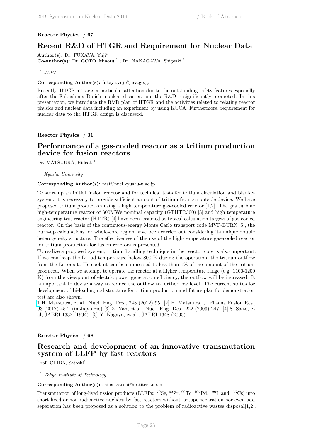## **Reactor Physics** / **67**

## **Recent R&D of HTGR and Requirement for Nuclear Data**

Author(s): Dr. FUKAYA, Yuji<sup>1</sup> Co-author(s): Dr. GOTO, Minoru<sup>1</sup>; Dr. NAKAGAWA, Shigeaki<sup>1</sup>

## 1 *JAEA*

## **Corresponding Author(s):** fukaya.yuji@jaea.go.jp

Recently, HTGR attracts a particular attention due to the outstanding safety features especially after the Fukushima Daiichi nuclear disaster, and the R&D is significantly promoted. In this presentation, we introduce the R&D plan of HTGR and the activities related to relating reactor physics and nuclear data including an experiment by using KUCA. Furthermore, requirement for nuclear data to the HTGR design is discussed.

**Reactor Physics** / **31**

## **Performance of a gas-cooled reactor as a tritium production device for fusion reactors**

Dr. MATSUURA, Hideaki<sup>1</sup>

<sup>1</sup> *Kyushu University*

#### **Corresponding Author(s):** mat@nucl.kyushu-u.ac.jp

To start up an initial fusion reactor and for technical tests for tritium circulation and blanket system, it is necessary to provide sufficient amount of tritium from an outside device. We have proposed tritium production using a high temperature gas-cooled reactor [1,2]. The gas turbine high-temperature reactor of 300MWe nominal capacity (GTHTR300) [3] and high temperature engineering test reactor (HTTR) [4] have been assumed as typical calculation targets of gas-cooled reactor. On the basis of the continuous-energy Monte Carlo transport code MVP-BURN [5], the burn-up calculations for whole-core region have been carried out considering its unique double heterogeneity structure. The effectiveness of the use of the high-temperature gas-cooled reactor for tritium production for fusion reactors is presented.

To realize a proposed system, tritium handling technique in the reactor core is also important. If we can keep the Li-rod temperature below 800 K during the operation, the tritium outflow from the Li rods to He coolant can be suppressed to less than 1% of the amount of the tritium produced. When we attempt to operate the reactor at a higher temperature range (e.g. 1100-1200 K) from the viewpoint of electric power generation efficiency, the outflow will be increased. It is important to devise a way to reduce the outflow to further low level. The current status for development of Li-loading rod structure for tritium production and future plan for demonstration test are also shown.

[1](https://www.jcprg.org/temp/fig-169Yb.png) H. Matsuura, et al., Nucl. Eng. Des., 243 (2012) 95. [2] H. Matsuura, J. Plasma Fusion Res., 93 (2017) 457. (in Japanese) [3] X. Yan, et al., Nucl. Eng. Des., 222 (2003) 247. [4] S. Saito, et al, JAERI 1332 (1994). [5] Y. Nagaya, et al., JAERI 1348 (2005).

## **Reactor Physics** / **68**

## **Research and development of an innovative transmutation system of LLFP by fast reactors**

Prof. CHIBA, Satoshi<sup>1</sup>

<sup>1</sup> *Tokyo Institute of Technology*

**Corresponding Author(s):** chiba.satoshi@nr.titech.ac.jp

Transmutation of long-lived fission products (LLFPs:  $^{79}$ Se,  $^{93}$ Zr,  $^{99}$ Tc,  $^{107}$ Pd,  $^{129}$ I, and  $^{135}$ Cs) into short-lived or non-radioactive nuclides by fast reactors without isotope separation nor even-odd separation has been proposed as a solution to the problem of radioactive wastes disposal[1,2].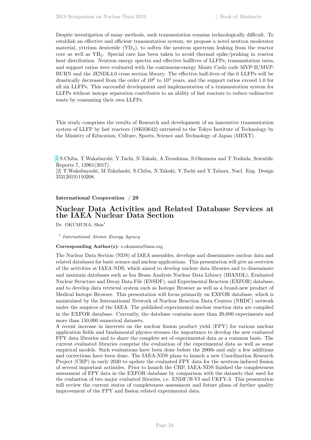Despite investigation of many methods, such transmutation remains technologically difficult. To establish an effective and efficient transmutation system, we propose a novel neutron moderator material, yttrium deuteride  $(YD_2)$ , to soften the neutron spectrum leaking from the reactor core as well as YH2. Special care has been taken to avoid thermal spike/peaking in reactor heat distribution. Neutron energy spectra and effective halflives of LLFPs, transmutation rates, and support ratios were evaluated with the continuous-energy Monte Carlo code MVP-II/MVP-BURN and the JENDL4.0 cross section library. The effective half-lives of the 6 LLFPs will be drastically decreased from the order of  $10^6$  to  $10^2$  years, and the support ratios exceed 1.0 for all six LLFPs. This successful development and implementation of a transmutation system for LLFPs without isotope separation contributes to an ability of fast reactors to reduce radioactive waste by consuming their own LLFPs.

This study comprises the results of Research and development of an innovative transmutation system of LLFP by fast reactors (18K03642) entrusted to the Tokyo Institute of Technology by the Ministry of Education, Culture, Sports, Science and Technology of Japan (MEXT).

[1](https://www.jcprg.org/temp/fig-169Yb.png) S.Chiba, T.Wakabayshi, Y.Tachi, N.Takaki, A.Terashima, S.Okumura and T.Yoshida, Scientific Reports 7, 13961(2017).

[2] T.Wakabayashi, M.Takahashi, S.Chiba, N.Takaki, Y.Tachi and Y.Tahara, Nucl. Eng. Design 352(2019)110208.

#### **International Cooperation** / **29**

## **Nuclear Data Activities and Related Database Services at the IAEA Nuclear Data Section**

Dr. OKUMURA, Shin<sup>1</sup>

1 *International Atomic Energy Agency*

#### **Corresponding Author(s):** s.okumura@iaea.org

The Nuclear Data Section (NDS) of IAEA assembles, develops and disseminates nuclear data and related databases for basic science and nuclear applications. This presentation will give an overview of the activities at IAEA-NDS, which aimed to develop nuclear data libraries and to disseminate and maintain databases such as Ion Beam Analysis Nuclear Data Library (IBANDL), Evaluated Nuclear Structure and Decay Data File (ENSDF), and Experimental Reaction (EXFOR) database, and to develop data retrieval system such as Isotope Browser as well as a brand-new product of Medical Isotope Browser. This presentation will focus primarily on EXFOR database, which is maintained by the International Network of Nuclear Reaction Data Centres (NRDC) network under the auspices of the IAEA. The published experimental nuclear reaction data are compiled in the EXFOR database. Currently, the database contains more than 20,000 experiments and more than 150,000 numerical datasets.

A recent increase in interests on the nuclear fission product yield (FPY) for various nuclear application fields and fundamental physics stresses the importance to develop the new evaluated FPY data libraries and to share the complete set of experimental data as a common basis. The current evaluated libraries comprise the evaluation of the experimental data as well as some empirical models. Such evaluations have been done before the 2000s and only a few additions and corrections have been done. The IAEA-NDS plans to launch a new Coordination Research Project (CRP) in early 2020 to update the evaluated FPY data for the neutron-induced fission of several important actinides. Prior to launch the CRP, IAEA-NDS finished the completeness assessment of FPY data in the EXFOR database by comparison with the datasets that used for the evaluation of two major evaluated libraries, i.e. ENDF/B-VI and UKFY-3. This presentation will review the current status of completeness assessment and future plans of further quality improvement of the FPY and fission related experimental data.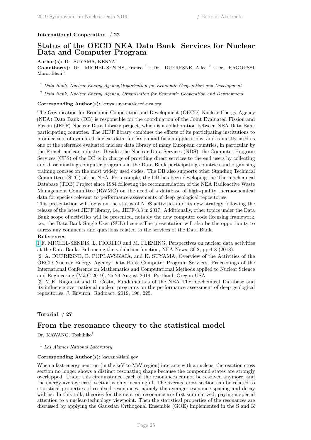#### **International Cooperation** / **22**

## **Status of the OECD NEA Data Bank Services for Nuclear Data and Computer Program**

**Author(s):** Dr. SUYAMA, KENYA<sup>1</sup>

Co-author(s): Dr. MICHEL-SENDIS, Franco<sup>1</sup>; Dr. DUFRESNE, Alice<sup>2</sup>; Dr. RAGOUSSI, Maria-Eleni <sup>2</sup>

<sup>1</sup> *Data Bank, Nuclear Energy Agency,Organisation for Economic Cooperation and Development*

<sup>2</sup> *Data Bank, Nuclear Energy Agency, Organisation for Economic Cooperation and Development*

#### **Corresponding Author(s):** kenya.suyama@oecd-nea.org

The Organisation for Economic Cooperation and Development (OECD) Nuclear Energy Agency (NEA) Data Bank (DB) is responsible for the coordination of the Joint Evaluated Fission and Fusion (JEFF) Nuclear Data Library project, which is a collaboration between NEA Data Bank participating countries. The JEFF library combines the efforts of its participating institutions to produce sets of evaluated nuclear data, for fission and fusion applications, and is mostly used as one of the reference evaluated nuclear data library of many European countries, in particular by the French nuclear industry. Besides the Nuclear Data Services (NDS), the Computer Program Services (CPS) of the DB is in charge of providing direct services to the end users by collecting and disseminating computer programs in the Data Bank participating countries and organising training courses on the most widely used codes. The DB also supports other Standing Technical Committees (STC) of the NEA. For example, the DB has been developing the Thermochemical Database (TDB) Project since 1984 following the recommendation of the NEA Radioactive Waste Management Committee (RWMC) on the need of a database of high-quality thermochemical data for species relevant to performance assessments of deep geological repositories.

This presentation will focus on the status of NDS activities and its new strategy following the release of the latest JEFF library, i.e., JEFF-3.3 in 2017. Additionally, other topics under the Data Bank scope of activities will be presented, notably the new computer code licensing framework, i.e., the Data Bank Single User (SUL) licence.The presentation will also be the opportunity to adress any comments and questions related to the services of the Data Bank.

#### **References**

[1](https://www.jcprg.org/temp/fig-169Yb.png) F. MICHEL-SENDIS, L. FIORITO and M. FLEMING, Perspectives on nuclear data activities at the Data Bank: Enhancing the validation function, NEA News, 36.2, pp.4-8 (2018).

[2] A. DUFRESNE, E. POPLAVSKAIA, and K. SUYAMA, Overview of the Activities of the OECD Nuclear Energy Agency Data Bank Computer Program Services, Proceedings of the International Conference on Mathematics and Computational Methods applied to Nuclear Science and Engineering (M&C 2019), 25-29 August 2019, Portland, Oregon USA.

[3] M.E. Ragoussi and D. Costa, Fundamentals of the NEA Thermochemical Database and its influence over national nuclear programs on the performance assessment of deep geological repositories, J. Environ. Radioact. 2019, 196, 225.

#### **Tutorial** / **27**

## **From the resonance theory to the statistical model**

Dr. KAWANO, Toshihiko<sup>1</sup>

<sup>1</sup> *Los Alamos National Laboratory*

## **Corresponding Author(s):** kawano@lanl.gov

When a fast-energy neutron (in the keV to MeV region) interacts with a nucleus, the reaction cross section no longer shows a distinct resonating shape because the compound states are strongly overlapped. Under this circumstance, each of the resonances cannot be resolved anymore, and the energy-average cross section is only meaningful. The average cross section can be related to statistical properties of resolved resonances, namely the average resonance spacing and decay widths. In this talk, theories for the neutron resonance are first summarized, paying a special attention to a nuclear-technology viewpoint. Then the statistical properties of the resonances are discussed by applying the Gaussian Orthogonal Ensemble (GOE) implemented in the S and K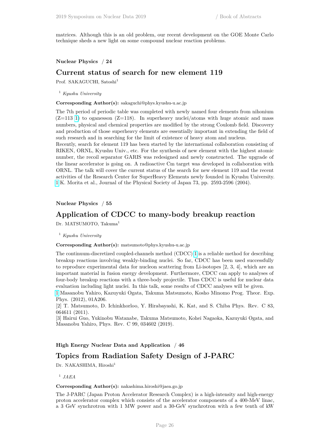matrices. Although this is an old problem, our recent development on the GOE Monte Carlo technique sheds a new light on some compound nuclear reaction problems.

#### **Nuclear Physics** / **24**

## **Current status of search for new element 119**

Prof. SAKAGUCHI, Satoshi<sup>1</sup>

<sup>1</sup> *Kyushu University*

**Corresponding Author(s):** sakaguchi@phys.kyushu-u.ac.jp

The 7th period of periodic table was completed with newly named four elements from nihonium  $(Z=113 \t1)$  to oganesson  $(Z=118)$ . In superheavy nuclei/atoms with huge atomic and mass numbers, physical and chemical properties are modified by the strong Coulomb field. Discovery and production of those superheavy elements are essentially important in extending the field of such research and in searching for the limit of existence of heavy atom and nucleus.

Recently, search for element 119 has been started by the international collaboration consisting of RIKEN, ORNL, Kyushu Univ., etc. For the synthesis of new element with the highest atomic number, the recoil separator GARIS was redesigned and newly constructed. The upgrade of the linear accelerator is going on. A radioactive Cm target was developed in collaboration with ORNL. The talk will cover the current status of the search for new element 119 and the recent activities of the Research Center for SuperHeavy Elements newly founded in Kyushu University. [1](https://www.jcprg.org/temp/fig-169Yb.png) K. Morita et al., Journal of the Physical Society of Japan 73, pp. 2593-2596 (2004).

**Nuclear Physics** / **55**

## **Application of CDCC to many-body breakup reaction**

Dr. MATSUMOTO, Takuma<sup>1</sup>

<sup>1</sup> *Kyushu University*

**Corresponding Author(s):** matsumoto@phys.kyushu-u.ac.jp

The continuum-discretized coupled-channels method (CDCC) [1](https://www.jcprg.org/temp/fig-169Yb.png) is a reliable method for describing breakup reactions involving weakly-binding nuclei. So far, CDCC has been used successfully to reproduce experimental data for nucleon scattering from Li-isotopes [2, 3, 4], which are an important material in fusion energy development. Furthermore, CDCC can apply to analyses of four-body breakup reactions with a three-body projectile. Thus CDCC is useful for nuclear data evaluation including light nuclei. In this talk, some results of CDCC analyses will be given.

[1](https://www.jcprg.org/temp/fig-169Yb.png) Masanobu Yahiro, Kazuyuki Ogata, Takuma Matsumoto, Kosho Minomo Prog. Theor. Exp. Phys. (2012), 01A206.

[2] T. Matsumoto, D. Ichinkhorloo, Y. Hirabayashi, K. Kat, and S. Chiba Phys. Rev. C 83, 064611 (2011).

[3] Hairui Guo, Yukinobu Watanabe, Takuma Matsumoto, Kohei Nagaoka, Kazuyuki Ogata, and Masanobu Yahiro, Phys. Rev. C 99, 034602 (2019).

#### **High Energy Nuclear Data and Application** / **46**

## **Topics from Radiation Safety Design of J-PARC**

Dr. NAKASHIMA, Hiroshi<sup>1</sup>

1 *JAEA*

#### **Corresponding Author(s):** nakashima.hiroshi@jaea.go.jp

The J-PARC (Japan Proton Accelerator Research Complex) is a high-intensity and high-energy proton accelerator complex which consists of the accelerator components of a 400-MeV linac, a 3 GeV synchrotron with 1 MW power and a 30-GeV synchrotron with a few tenth of kW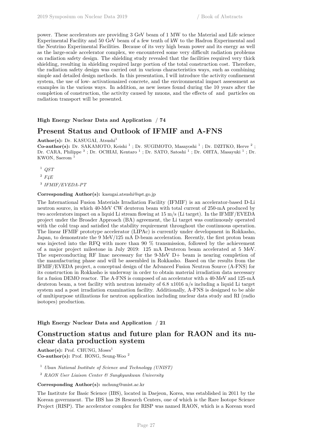power. These accelerators are providing 3 GeV beam of 1 MW to the Material and Life science Experimental Facility and 50 GeV beam of a few tenth of kW to the Hadron Experimental and the Neutrino Experimental Facilities. Because of its very high beam power and its energy as well as the large-scale accelerator complex, we encountered some very difficult radiation problems on radiation safety design. The shielding study revealed that the facilities required very thick shielding, resulting in shielding required large portion of the total construction cost. Therefore, the radiation safety design was carried out in various characteristics ways, such as combining simple and detailed design methods. In this presentation, I will introduce the activity confinement system, the use of low- activationaized concrete, and the environmental impact assessment as examples in the various ways. In addition, as new issues found during the 10 years after the completion of construction, the activity caused by muons, and the effects of and particles on radiation transport will be presented.

## **High Energy Nuclear Data and Application** / **74**

## **Present Status and Outlook of IFMIF and A-FNS**

Author(s): Dr. KASUGAI, Atsushi<sup>1</sup>

**Co-author(s):** Dr. SAKAMOTO, Keishi<sup>1</sup>; Dr. SUGIMOTO, Masayoshi<sup>1</sup>; Dr. DZITKO, Herve<sup>2</sup>; Dr. CARA, Philippe<sup>3</sup>; Dr. OCHIAI, Kentaro<sup>1</sup>; Dr. SATO, Satoshi<sup>1</sup>; Dr. OHTA, Masayuki<sup>1</sup>; Dr. KWON, Saerom<sup>1</sup>

- <sup>1</sup> *QST*
- <sup>2</sup> *F4E*

3 *IFMIF/EVEDA-PT*

#### **Corresponding Author(s):** kasugai.atsushi@qst.go.jp

The International Fusion Materials Irradiation Facility (IFMIF) is an accelerator-based D-Li neutron source, in which 40-MeV CW deuteron beam with total current of 250-mA produced by two accelerators impact on a liquid Li stream flowing at 15 m/s (Li target). In the IFMIF/EVEDA project under the Broader Approach (BA) agreement, the Li target was continuously operated with the cold trap and satisfied the stability requirement throughout the continuous operation. The linear IFMIF prototype accelerator (LIPAc) is currently under development in Rokkasho, Japan, to demonstrate the 9 MeV/125 mA D-beam acceleration. Recently, the first proton beam was injected into the RFQ with more than 90 % transmission, followed by the achievement of a major project milestone in July 2019: 125 mA Deuteron beam accelerated at 5 MeV. The superconducting RF linac necessary for the 9-MeV D+ beam is nearing completion of the manufacturing phase and will be assembled in Rokkasho. Based on the results from the IFMIF/EVEDA project, a conceptual design of the Advanced Fusion Neutron Source (A-FNS) for its construction in Rokkasho is underway in order to obtain material irradiation data necessary for a fusion DEMO reactor. The A-FNS is composed of an accelerator with a 40-MeV and 125-mA deuteron beam, a test facility with neutron intensity of 6.8 x1016 n/s including a liquid Li target system and a post irradiation examination facility. Additionally, A-FNS is designed to be able of multipurpose utilizations for neutron application including nuclear data study and RI (radio isotopes) production.

## **High Energy Nuclear Data and Application** / **21**

## **Construction status and future plan for RAON and its nuclear data production system**

Author(s): Prof. CHUNG, Moses<sup>1</sup> **Co-author(s):** Prof. HONG, Seung-Woo <sup>2</sup>

<sup>1</sup> *Ulsan National Institute of Science and Technology (UNIST)*

<sup>2</sup> *RAON User Liaison Center & Sungkyunkwan University*

**Corresponding Author(s):** mchung@unist.ac.kr

The Institute for Basic Science (IBS), located in Daejeon, Korea, was established in 2011 by the Korean government. The IBS has 28 Research Centers, one of which is the Rare Isotope Science Project (RISP). The accelerator complex for RISP was named RAON, which is a Korean word